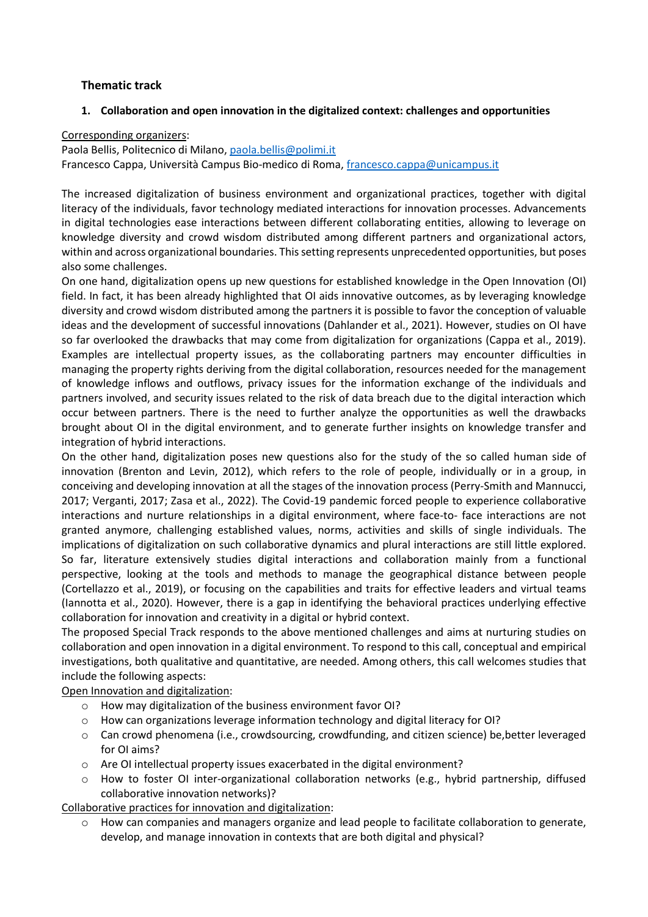## **Thematic track**

### **1. Collaboration and open innovation in the digitalized context: challenges and opportunities**

#### Corresponding organizers:

Paola Bellis, Politecnico di Milano, [paola.bellis@polimi.it](mailto:paola.bellis@polimi.it)

Francesco Cappa, Università Campus Bio-medico di Roma, [francesco.cappa@unicampus.it](mailto:francesco.cappa@unicampus.it)

The increased digitalization of business environment and organizational practices, together with digital literacy of the individuals, favor technology mediated interactions for innovation processes. Advancements in digital technologies ease interactions between different collaborating entities, allowing to leverage on knowledge diversity and crowd wisdom distributed among different partners and organizational actors, within and across organizational boundaries. This setting represents unprecedented opportunities, but poses also some challenges.

On one hand, digitalization opens up new questions for established knowledge in the Open Innovation (OI) field. In fact, it has been already highlighted that OI aids innovative outcomes, as by leveraging knowledge diversity and crowd wisdom distributed among the partners it is possible to favor the conception of valuable ideas and the development of successful innovations (Dahlander et al., 2021). However, studies on OI have so far overlooked the drawbacks that may come from digitalization for organizations (Cappa et al., 2019). Examples are intellectual property issues, as the collaborating partners may encounter difficulties in managing the property rights deriving from the digital collaboration, resources needed for the management of knowledge inflows and outflows, privacy issues for the information exchange of the individuals and partners involved, and security issues related to the risk of data breach due to the digital interaction which occur between partners. There is the need to further analyze the opportunities as well the drawbacks brought about OI in the digital environment, and to generate further insights on knowledge transfer and integration of hybrid interactions.

On the other hand, digitalization poses new questions also for the study of the so called human side of innovation (Brenton and Levin, 2012), which refers to the role of people, individually or in a group, in conceiving and developing innovation at all the stages of the innovation process (Perry-Smith and Mannucci, 2017; Verganti, 2017; Zasa et al., 2022). The Covid-19 pandemic forced people to experience collaborative interactions and nurture relationships in a digital environment, where face-to- face interactions are not granted anymore, challenging established values, norms, activities and skills of single individuals. The implications of digitalization on such collaborative dynamics and plural interactions are still little explored. So far, literature extensively studies digital interactions and collaboration mainly from a functional perspective, looking at the tools and methods to manage the geographical distance between people (Cortellazzo et al., 2019), or focusing on the capabilities and traits for effective leaders and virtual teams (Iannotta et al., 2020). However, there is a gap in identifying the behavioral practices underlying effective collaboration for innovation and creativity in a digital or hybrid context.

The proposed Special Track responds to the above mentioned challenges and aims at nurturing studies on collaboration and open innovation in a digital environment. To respond to this call, conceptual and empirical investigations, both qualitative and quantitative, are needed. Among others, this call welcomes studies that include the following aspects:

Open Innovation and digitalization:

- o How may digitalization of the business environment favor OI?
- $\circ$  How can organizations leverage information technology and digital literacy for OI?
- o Can crowd phenomena (i.e., crowdsourcing, crowdfunding, and citizen science) be,better leveraged for OI aims?
- o Are OI intellectual property issues exacerbated in the digital environment?
- o How to foster OI inter-organizational collaboration networks (e.g., hybrid partnership, diffused collaborative innovation networks)?

Collaborative practices for innovation and digitalization:

o How can companies and managers organize and lead people to facilitate collaboration to generate, develop, and manage innovation in contexts that are both digital and physical?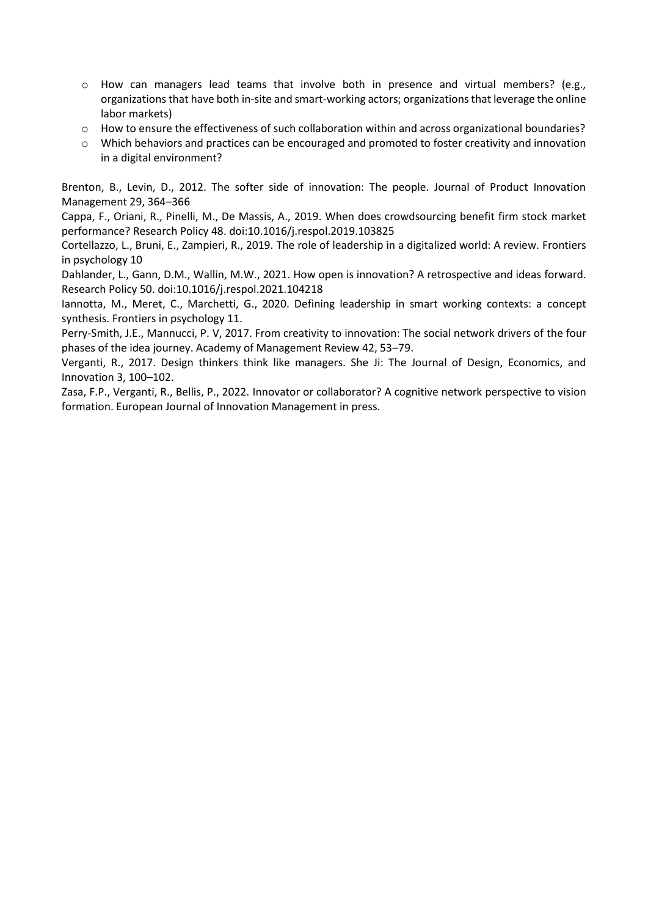- o How can managers lead teams that involve both in presence and virtual members? (e.g., organizations that have both in-site and smart-working actors; organizations that leverage the online labor markets)
- o How to ensure the effectiveness of such collaboration within and across organizational boundaries?
- o Which behaviors and practices can be encouraged and promoted to foster creativity and innovation in a digital environment?

Brenton, B., Levin, D., 2012. The softer side of innovation: The people. Journal of Product Innovation Management 29, 364–366

Cappa, F., Oriani, R., Pinelli, M., De Massis, A., 2019. When does crowdsourcing benefit firm stock market performance? Research Policy 48. doi:10.1016/j.respol.2019.103825

Cortellazzo, L., Bruni, E., Zampieri, R., 2019. The role of leadership in a digitalized world: A review. Frontiers in psychology 10

Dahlander, L., Gann, D.M., Wallin, M.W., 2021. How open is innovation? A retrospective and ideas forward. Research Policy 50. doi:10.1016/j.respol.2021.104218

Iannotta, M., Meret, C., Marchetti, G., 2020. Defining leadership in smart working contexts: a concept synthesis. Frontiers in psychology 11.

Perry-Smith, J.E., Mannucci, P. V, 2017. From creativity to innovation: The social network drivers of the four phases of the idea journey. Academy of Management Review 42, 53–79.

Verganti, R., 2017. Design thinkers think like managers. She Ji: The Journal of Design, Economics, and Innovation 3, 100–102.

Zasa, F.P., Verganti, R., Bellis, P., 2022. Innovator or collaborator? A cognitive network perspective to vision formation. European Journal of Innovation Management in press.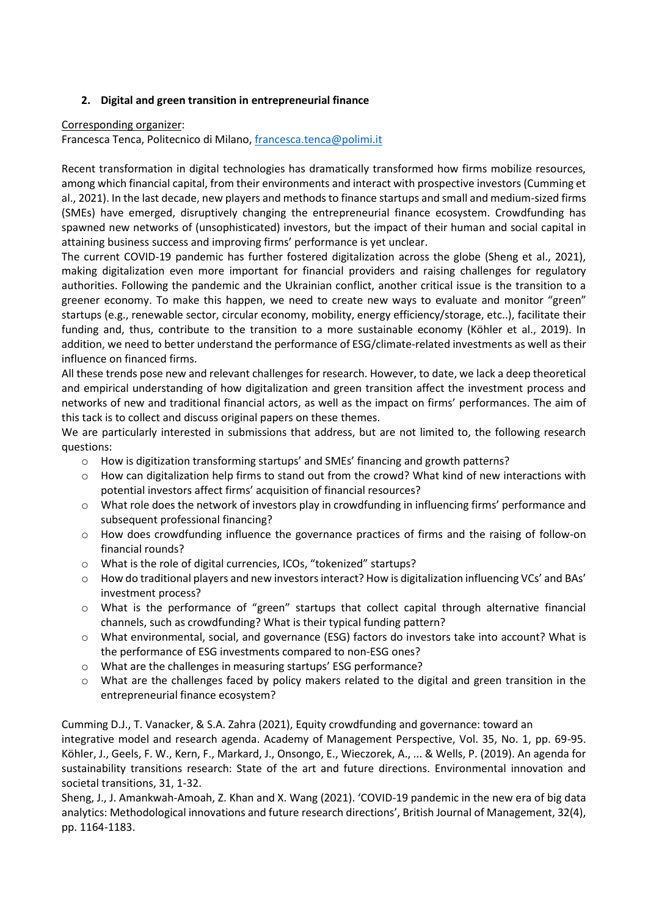### **2. Digital and green transition in entrepreneurial finance**

#### Corresponding organizer:

Francesca Tenca, Politecnico di Milano, [francesca.tenca@polimi.it](mailto:francesca.tenca@polimi.it)

Recent transformation in digital technologies has dramatically transformed how firms mobilize resources, among which financial capital, from their environments and interact with prospective investors (Cumming et al., 2021). In the last decade, new players and methods to finance startups and small and medium-sized firms (SMEs) have emerged, disruptively changing the entrepreneurial finance ecosystem. Crowdfunding has spawned new networks of (unsophisticated) investors, but the impact of their human and social capital in attaining business success and improving firms' performance is yet unclear.

The current COVID-19 pandemic has further fostered digitalization across the globe (Sheng et al., 2021), making digitalization even more important for financial providers and raising challenges for regulatory authorities. Following the pandemic and the Ukrainian conflict, another critical issue is the transition to a greener economy. To make this happen, we need to create new ways to evaluate and monitor "green" startups (e.g., renewable sector, circular economy, mobility, energy efficiency/storage, etc..), facilitate their funding and, thus, contribute to the transition to a more sustainable economy (Köhler et al., 2019). In addition, we need to better understand the performance of ESG/climate-related investments as well as their influence on financed firms.

All these trends pose new and relevant challenges for research. However, to date, we lack a deep theoretical and empirical understanding of how digitalization and green transition affect the investment process and networks of new and traditional financial actors, as well as the impact on firms' performances. The aim of this tack is to collect and discuss original papers on these themes.

We are particularly interested in submissions that address, but are not limited to, the following research questions:

- o How is digitization transforming startups' and SMEs' financing and growth patterns?
- $\circ$  How can digitalization help firms to stand out from the crowd? What kind of new interactions with potential investors affect firms' acquisition of financial resources?
- o What role does the network of investors play in crowdfunding in influencing firms' performance and subsequent professional financing?
- o How does crowdfunding influence the governance practices of firms and the raising of follow-on financial rounds?
- o What is the role of digital currencies, ICOs, "tokenized" startups?
- o How do traditional players and new investors interact? How is digitalization influencing VCs' and BAs' investment process?
- o What is the performance of "green" startups that collect capital through alternative financial channels, such as crowdfunding? What is their typical funding pattern?
- o What environmental, social, and governance (ESG) factors do investors take into account? What is the performance of ESG investments compared to non-ESG ones?
- o What are the challenges in measuring startups' ESG performance?
- $\circ$  What are the challenges faced by policy makers related to the digital and green transition in the entrepreneurial finance ecosystem?

Cumming D.J., T. Vanacker, & S.A. Zahra (2021), Equity crowdfunding and governance: toward an

integrative model and research agenda. Academy of Management Perspective, Vol. 35, No. 1, pp. 69-95. Köhler, J., Geels, F. W., Kern, F., Markard, J., Onsongo, E., Wieczorek, A., ... & Wells, P. (2019). An agenda for sustainability transitions research: State of the art and future directions. Environmental innovation and societal transitions, 31, 1-32.

Sheng, J., J. Amankwah-Amoah, Z. Khan and X. Wang (2021). 'COVID-19 pandemic in the new era of big data analytics: Methodological innovations and future research directions', British Journal of Management, 32(4), pp. 1164-1183.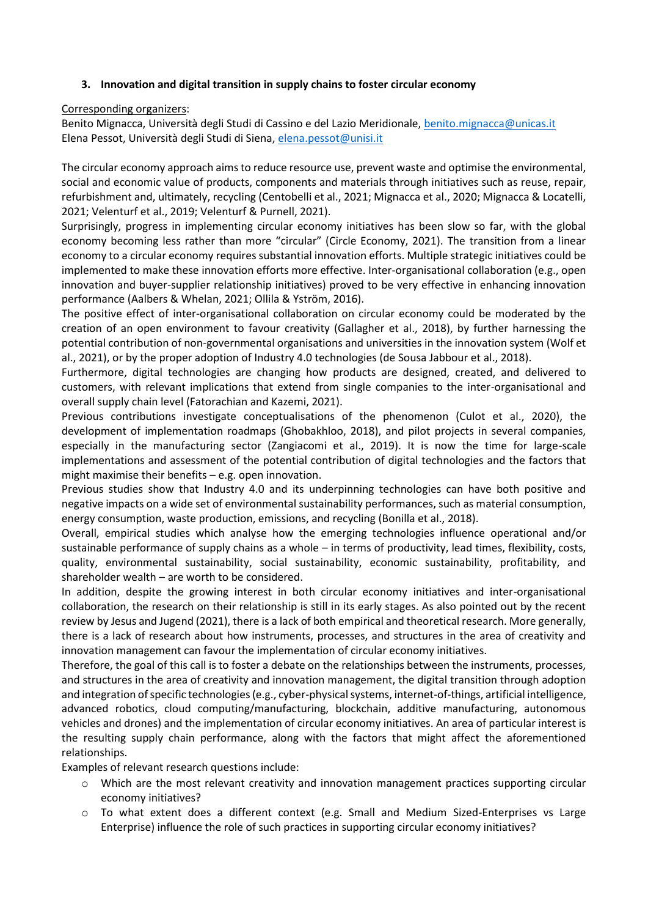## **3. Innovation and digital transition in supply chains to foster circular economy**

### Corresponding organizers:

Benito Mignacca, Università degli Studi di Cassino e del Lazio Meridionale[, benito.mignacca@unicas.it](mailto:benito.mignacca@unicas.it) Elena Pessot, Università degli Studi di Siena, [elena.pessot@unisi.it](mailto:elena.pessot@unisi.it)

The circular economy approach aims to reduce resource use, prevent waste and optimise the environmental, social and economic value of products, components and materials through initiatives such as reuse, repair, refurbishment and, ultimately, recycling (Centobelli et al., 2021; Mignacca et al., 2020; Mignacca & Locatelli, 2021; Velenturf et al., 2019; Velenturf & Purnell, 2021).

Surprisingly, progress in implementing circular economy initiatives has been slow so far, with the global economy becoming less rather than more "circular" (Circle Economy, 2021). The transition from a linear economy to a circular economy requires substantial innovation efforts. Multiple strategic initiatives could be implemented to make these innovation efforts more effective. Inter-organisational collaboration (e.g., open innovation and buyer-supplier relationship initiatives) proved to be very effective in enhancing innovation performance (Aalbers & Whelan, 2021; Ollila & Yström, 2016).

The positive effect of inter-organisational collaboration on circular economy could be moderated by the creation of an open environment to favour creativity (Gallagher et al., 2018), by further harnessing the potential contribution of non-governmental organisations and universities in the innovation system (Wolf et al., 2021), or by the proper adoption of Industry 4.0 technologies (de Sousa Jabbour et al., 2018).

Furthermore, digital technologies are changing how products are designed, created, and delivered to customers, with relevant implications that extend from single companies to the inter-organisational and overall supply chain level (Fatorachian and Kazemi, 2021).

Previous contributions investigate conceptualisations of the phenomenon (Culot et al., 2020), the development of implementation roadmaps (Ghobakhloo, 2018), and pilot projects in several companies, especially in the manufacturing sector (Zangiacomi et al., 2019). It is now the time for large-scale implementations and assessment of the potential contribution of digital technologies and the factors that might maximise their benefits – e.g. open innovation.

Previous studies show that Industry 4.0 and its underpinning technologies can have both positive and negative impacts on a wide set of environmental sustainability performances, such as material consumption, energy consumption, waste production, emissions, and recycling (Bonilla et al., 2018).

Overall, empirical studies which analyse how the emerging technologies influence operational and/or sustainable performance of supply chains as a whole – in terms of productivity, lead times, flexibility, costs, quality, environmental sustainability, social sustainability, economic sustainability, profitability, and shareholder wealth – are worth to be considered.

In addition, despite the growing interest in both circular economy initiatives and inter-organisational collaboration, the research on their relationship is still in its early stages. As also pointed out by the recent review by Jesus and Jugend (2021), there is a lack of both empirical and theoretical research. More generally, there is a lack of research about how instruments, processes, and structures in the area of creativity and innovation management can favour the implementation of circular economy initiatives.

Therefore, the goal of this call is to foster a debate on the relationships between the instruments, processes, and structures in the area of creativity and innovation management, the digital transition through adoption and integration of specific technologies (e.g., cyber-physical systems, internet-of-things, artificial intelligence, advanced robotics, cloud computing/manufacturing, blockchain, additive manufacturing, autonomous vehicles and drones) and the implementation of circular economy initiatives. An area of particular interest is the resulting supply chain performance, along with the factors that might affect the aforementioned relationships.

Examples of relevant research questions include:

- o Which are the most relevant creativity and innovation management practices supporting circular economy initiatives?
- o To what extent does a different context (e.g. Small and Medium Sized-Enterprises vs Large Enterprise) influence the role of such practices in supporting circular economy initiatives?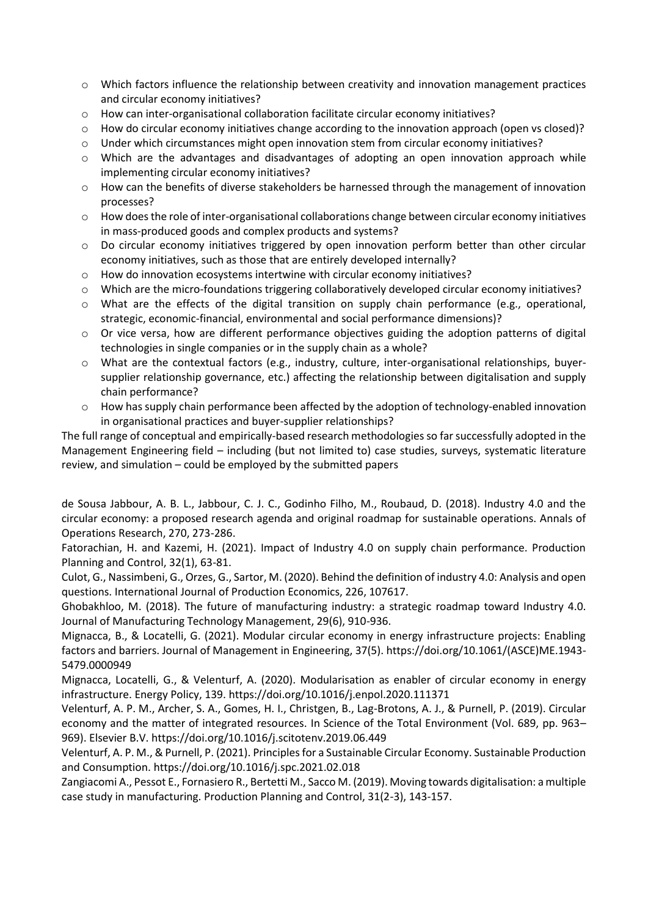- o Which factors influence the relationship between creativity and innovation management practices and circular economy initiatives?
- o How can inter-organisational collaboration facilitate circular economy initiatives?
- $\circ$  How do circular economy initiatives change according to the innovation approach (open vs closed)?
- o Under which circumstances might open innovation stem from circular economy initiatives?
- o Which are the advantages and disadvantages of adopting an open innovation approach while implementing circular economy initiatives?
- $\circ$  How can the benefits of diverse stakeholders be harnessed through the management of innovation processes?
- o How does the role of inter-organisational collaborations change between circular economy initiatives in mass-produced goods and complex products and systems?
- $\circ$  Do circular economy initiatives triggered by open innovation perform better than other circular economy initiatives, such as those that are entirely developed internally?
- o How do innovation ecosystems intertwine with circular economy initiatives?
- o Which are the micro-foundations triggering collaboratively developed circular economy initiatives?
- o What are the effects of the digital transition on supply chain performance (e.g., operational, strategic, economic-financial, environmental and social performance dimensions)?
- o Or vice versa, how are different performance objectives guiding the adoption patterns of digital technologies in single companies or in the supply chain as a whole?
- o What are the contextual factors (e.g., industry, culture, inter-organisational relationships, buyersupplier relationship governance, etc.) affecting the relationship between digitalisation and supply chain performance?
- o How has supply chain performance been affected by the adoption of technology-enabled innovation in organisational practices and buyer-supplier relationships?

The full range of conceptual and empirically-based research methodologies so far successfully adopted in the Management Engineering field – including (but not limited to) case studies, surveys, systematic literature review, and simulation – could be employed by the submitted papers

de Sousa Jabbour, A. B. L., Jabbour, C. J. C., Godinho Filho, M., Roubaud, D. (2018). Industry 4.0 and the circular economy: a proposed research agenda and original roadmap for sustainable operations. Annals of Operations Research, 270, 273-286.

Fatorachian, H. and Kazemi, H. (2021). Impact of Industry 4.0 on supply chain performance. Production Planning and Control, 32(1), 63-81.

Culot, G., Nassimbeni, G., Orzes, G., Sartor, M. (2020). Behind the definition of industry 4.0: Analysis and open questions. International Journal of Production Economics, 226, 107617.

Ghobakhloo, M. (2018). The future of manufacturing industry: a strategic roadmap toward Industry 4.0. Journal of Manufacturing Technology Management, 29(6), 910-936.

Mignacca, B., & Locatelli, G. (2021). Modular circular economy in energy infrastructure projects: Enabling factors and barriers. Journal of Management in Engineering, 37(5). https://doi.org/10.1061/(ASCE)ME.1943- 5479.0000949

Mignacca, Locatelli, G., & Velenturf, A. (2020). Modularisation as enabler of circular economy in energy infrastructure. Energy Policy, 139. https://doi.org/10.1016/j.enpol.2020.111371

Velenturf, A. P. M., Archer, S. A., Gomes, H. I., Christgen, B., Lag-Brotons, A. J., & Purnell, P. (2019). Circular economy and the matter of integrated resources. In Science of the Total Environment (Vol. 689, pp. 963– 969). Elsevier B.V. https://doi.org/10.1016/j.scitotenv.2019.06.449

Velenturf, A. P. M., & Purnell, P. (2021). Principles for a Sustainable Circular Economy. Sustainable Production and Consumption. https://doi.org/10.1016/j.spc.2021.02.018

Zangiacomi A., Pessot E., Fornasiero R., Bertetti M., Sacco M. (2019). Moving towards digitalisation: a multiple case study in manufacturing. Production Planning and Control, 31(2-3), 143-157.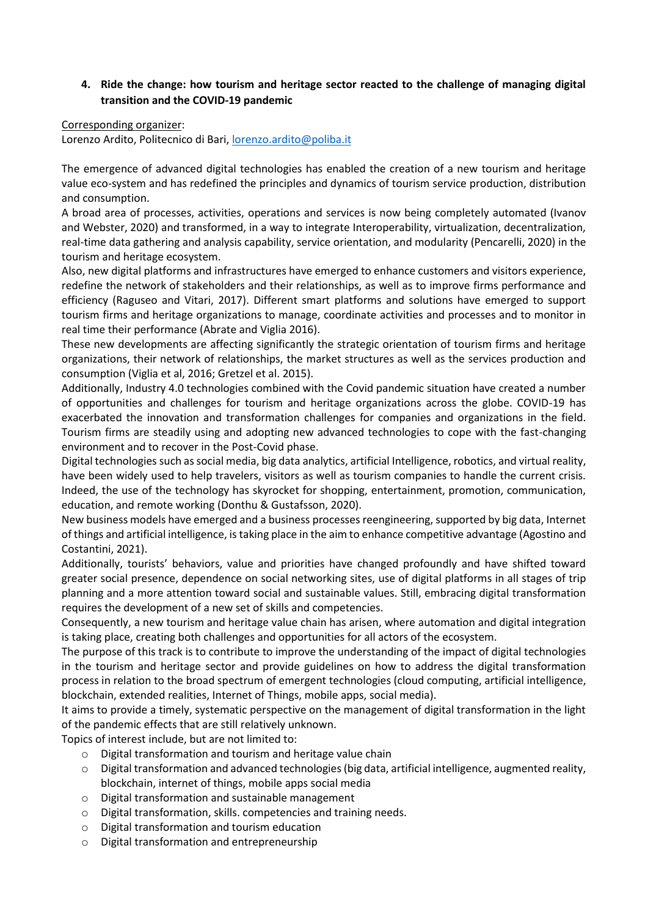# **4. Ride the change: how tourism and heritage sector reacted to the challenge of managing digital transition and the COVID-19 pandemic**

### Corresponding organizer:

Lorenzo Ardito, Politecnico di Bari, [lorenzo.ardito@poliba.it](mailto:lorenzo.ardito@poliba.it)

The emergence of advanced digital technologies has enabled the creation of a new tourism and heritage value eco-system and has redefined the principles and dynamics of tourism service production, distribution and consumption.

A broad area of processes, activities, operations and services is now being completely automated (Ivanov and Webster, 2020) and transformed, in a way to integrate Interoperability, virtualization, decentralization, real-time data gathering and analysis capability, service orientation, and modularity (Pencarelli, 2020) in the tourism and heritage ecosystem.

Also, new digital platforms and infrastructures have emerged to enhance customers and visitors experience, redefine the network of stakeholders and their relationships, as well as to improve firms performance and efficiency (Raguseo and Vitari, 2017). Different smart platforms and solutions have emerged to support tourism firms and heritage organizations to manage, coordinate activities and processes and to monitor in real time their performance (Abrate and Viglia 2016).

These new developments are affecting significantly the strategic orientation of tourism firms and heritage organizations, their network of relationships, the market structures as well as the services production and consumption (Viglia et al, 2016; Gretzel et al. 2015).

Additionally, Industry 4.0 technologies combined with the Covid pandemic situation have created a number of opportunities and challenges for tourism and heritage organizations across the globe. COVID-19 has exacerbated the innovation and transformation challenges for companies and organizations in the field. Tourism firms are steadily using and adopting new advanced technologies to cope with the fast-changing environment and to recover in the Post-Covid phase.

Digital technologies such as social media, big data analytics, artificial Intelligence, robotics, and virtual reality, have been widely used to help travelers, visitors as well as tourism companies to handle the current crisis. Indeed, the use of the technology has skyrocket for shopping, entertainment, promotion, communication, education, and remote working (Donthu & Gustafsson, 2020).

New business models have emerged and a business processes reengineering, supported by big data, Internet of things and artificial intelligence, is taking place in the aim to enhance competitive advantage (Agostino and Costantini, 2021).

Additionally, tourists' behaviors, value and priorities have changed profoundly and have shifted toward greater social presence, dependence on social networking sites, use of digital platforms in all stages of trip planning and a more attention toward social and sustainable values. Still, embracing digital transformation requires the development of a new set of skills and competencies.

Consequently, a new tourism and heritage value chain has arisen, where automation and digital integration is taking place, creating both challenges and opportunities for all actors of the ecosystem.

The purpose of this track is to contribute to improve the understanding of the impact of digital technologies in the tourism and heritage sector and provide guidelines on how to address the digital transformation process in relation to the broad spectrum of emergent technologies (cloud computing, artificial intelligence, blockchain, extended realities, Internet of Things, mobile apps, social media).

It aims to provide a timely, systematic perspective on the management of digital transformation in the light of the pandemic effects that are still relatively unknown.

Topics of interest include, but are not limited to:

- o Digital transformation and tourism and heritage value chain
- o Digital transformation and advanced technologies (big data, artificial intelligence, augmented reality, blockchain, internet of things, mobile apps social media
- o Digital transformation and sustainable management
- o Digital transformation, skills. competencies and training needs.
- o Digital transformation and tourism education
- o Digital transformation and entrepreneurship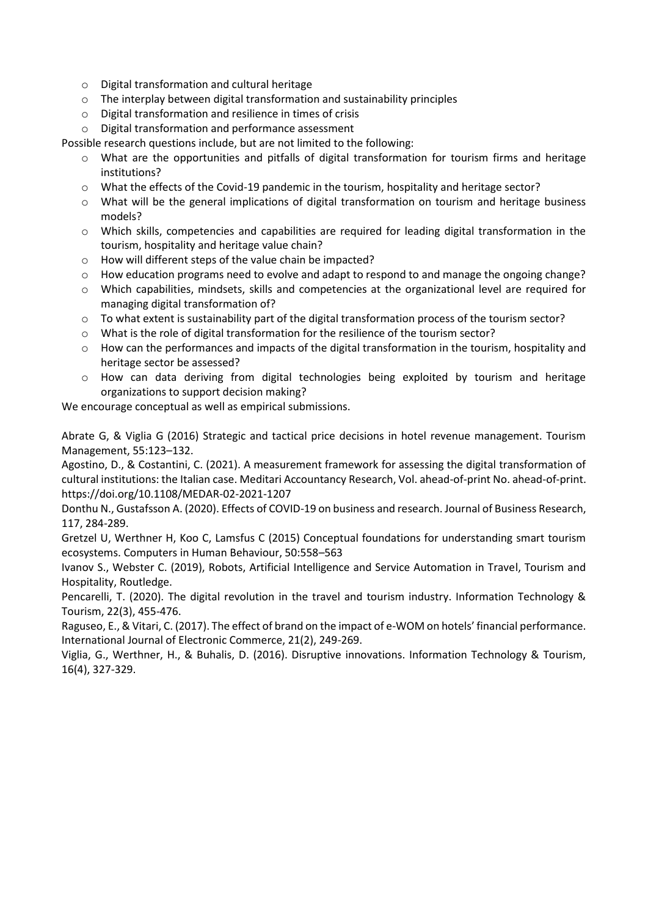- o Digital transformation and cultural heritage
- o The interplay between digital transformation and sustainability principles
- o Digital transformation and resilience in times of crisis
- o Digital transformation and performance assessment

Possible research questions include, but are not limited to the following:

- What are the opportunities and pitfalls of digital transformation for tourism firms and heritage institutions?
- o What the effects of the Covid-19 pandemic in the tourism, hospitality and heritage sector?
- o What will be the general implications of digital transformation on tourism and heritage business models?
- o Which skills, competencies and capabilities are required for leading digital transformation in the tourism, hospitality and heritage value chain?
- o How will different steps of the value chain be impacted?
- o How education programs need to evolve and adapt to respond to and manage the ongoing change?
- o Which capabilities, mindsets, skills and competencies at the organizational level are required for managing digital transformation of?
- o To what extent is sustainability part of the digital transformation process of the tourism sector?
- o What is the role of digital transformation for the resilience of the tourism sector?
- $\circ$  How can the performances and impacts of the digital transformation in the tourism, hospitality and heritage sector be assessed?
- o How can data deriving from digital technologies being exploited by tourism and heritage organizations to support decision making?

We encourage conceptual as well as empirical submissions.

Abrate G, & Viglia G (2016) Strategic and tactical price decisions in hotel revenue management. Tourism Management, 55:123–132.

Agostino, D., & Costantini, C. (2021). A measurement framework for assessing the digital transformation of cultural institutions: the Italian case. Meditari Accountancy Research, Vol. ahead-of-print No. ahead-of-print. https://doi.org/10.1108/MEDAR-02-2021-1207

Donthu N., Gustafsson A. (2020). Effects of COVID-19 on business and research. Journal of Business Research, 117, 284-289.

Gretzel U, Werthner H, Koo C, Lamsfus C (2015) Conceptual foundations for understanding smart tourism ecosystems. Computers in Human Behaviour, 50:558–563

Ivanov S., Webster C. (2019), Robots, Artificial Intelligence and Service Automation in Travel, Tourism and Hospitality, Routledge.

Pencarelli, T. (2020). The digital revolution in the travel and tourism industry. Information Technology & Tourism, 22(3), 455-476.

Raguseo, E., & Vitari, C. (2017). The effect of brand on the impact of e-WOM on hotels' financial performance. International Journal of Electronic Commerce, 21(2), 249-269.

Viglia, G., Werthner, H., & Buhalis, D. (2016). Disruptive innovations. Information Technology & Tourism, 16(4), 327-329.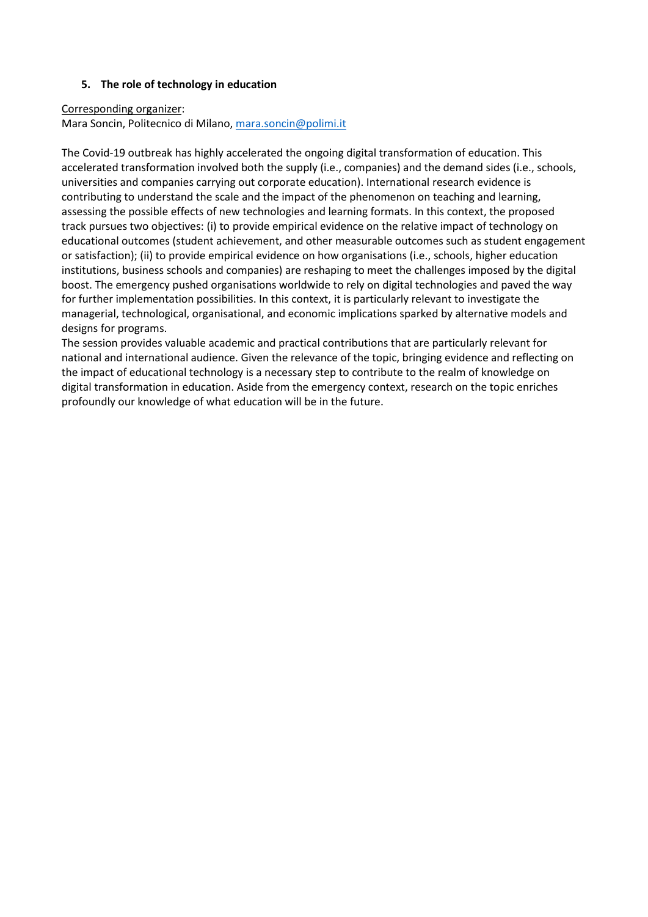### **5. The role of technology in education**

#### Corresponding organizer:

Mara Soncin, Politecnico di Milano[, mara.soncin@polimi.it](mailto:mara.soncin@polimi.it)

The Covid-19 outbreak has highly accelerated the ongoing digital transformation of education. This accelerated transformation involved both the supply (i.e., companies) and the demand sides (i.e., schools, universities and companies carrying out corporate education). International research evidence is contributing to understand the scale and the impact of the phenomenon on teaching and learning, assessing the possible effects of new technologies and learning formats. In this context, the proposed track pursues two objectives: (i) to provide empirical evidence on the relative impact of technology on educational outcomes (student achievement, and other measurable outcomes such as student engagement or satisfaction); (ii) to provide empirical evidence on how organisations (i.e., schools, higher education institutions, business schools and companies) are reshaping to meet the challenges imposed by the digital boost. The emergency pushed organisations worldwide to rely on digital technologies and paved the way for further implementation possibilities. In this context, it is particularly relevant to investigate the managerial, technological, organisational, and economic implications sparked by alternative models and designs for programs.

The session provides valuable academic and practical contributions that are particularly relevant for national and international audience. Given the relevance of the topic, bringing evidence and reflecting on the impact of educational technology is a necessary step to contribute to the realm of knowledge on digital transformation in education. Aside from the emergency context, research on the topic enriches profoundly our knowledge of what education will be in the future.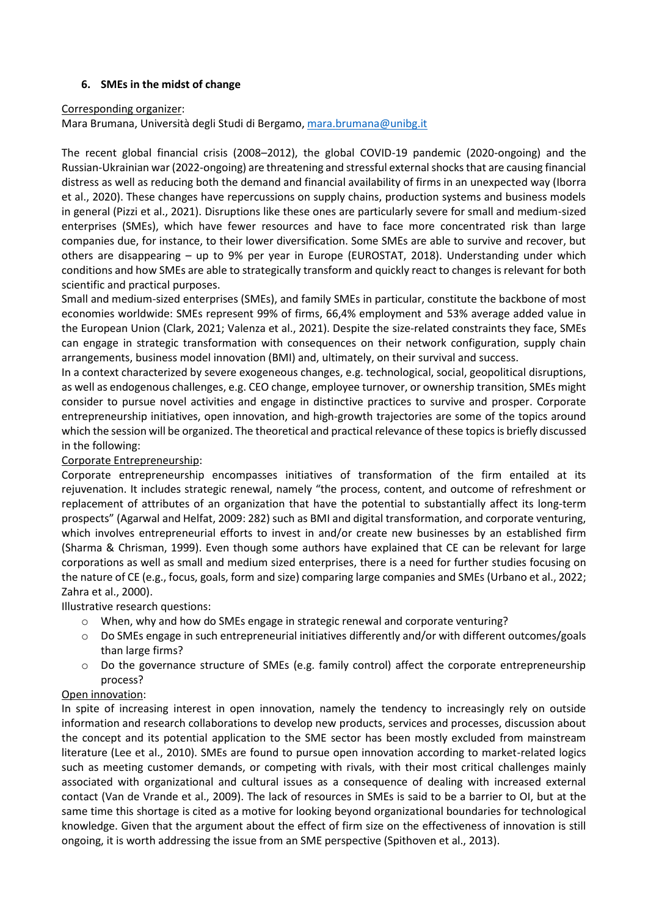## **6. SMEs in the midst of change**

### Corresponding organizer:

Mara Brumana, Università degli Studi di Bergamo[, mara.brumana@unibg.it](mailto:mara.brumana@unibg.it)

The recent global financial crisis (2008–2012), the global COVID-19 pandemic (2020-ongoing) and the Russian-Ukrainian war (2022-ongoing) are threatening and stressful external shocks that are causing financial distress as well as reducing both the demand and financial availability of firms in an unexpected way (Iborra et al., 2020). These changes have repercussions on supply chains, production systems and business models in general (Pizzi et al., 2021). Disruptions like these ones are particularly severe for small and medium-sized enterprises (SMEs), which have fewer resources and have to face more concentrated risk than large companies due, for instance, to their lower diversification. Some SMEs are able to survive and recover, but others are disappearing – up to 9% per year in Europe (EUROSTAT, 2018). Understanding under which conditions and how SMEs are able to strategically transform and quickly react to changes is relevant for both scientific and practical purposes.

Small and medium-sized enterprises (SMEs), and family SMEs in particular, constitute the backbone of most economies worldwide: SMEs represent 99% of firms, 66,4% employment and 53% average added value in the European Union (Clark, 2021; Valenza et al., 2021). Despite the size-related constraints they face, SMEs can engage in strategic transformation with consequences on their network configuration, supply chain arrangements, business model innovation (BMI) and, ultimately, on their survival and success.

In a context characterized by severe exogeneous changes, e.g. technological, social, geopolitical disruptions, as well as endogenous challenges, e.g. CEO change, employee turnover, or ownership transition, SMEs might consider to pursue novel activities and engage in distinctive practices to survive and prosper. Corporate entrepreneurship initiatives, open innovation, and high-growth trajectories are some of the topics around which the session will be organized. The theoretical and practical relevance of these topics is briefly discussed in the following:

## Corporate Entrepreneurship:

Corporate entrepreneurship encompasses initiatives of transformation of the firm entailed at its rejuvenation. It includes strategic renewal, namely "the process, content, and outcome of refreshment or replacement of attributes of an organization that have the potential to substantially affect its long-term prospects" (Agarwal and Helfat, 2009: 282) such as BMI and digital transformation, and corporate venturing, which involves entrepreneurial efforts to invest in and/or create new businesses by an established firm (Sharma & Chrisman, 1999). Even though some authors have explained that CE can be relevant for large corporations as well as small and medium sized enterprises, there is a need for further studies focusing on the nature of CE (e.g., focus, goals, form and size) comparing large companies and SMEs (Urbano et al., 2022; Zahra et al., 2000).

Illustrative research questions:

- o When, why and how do SMEs engage in strategic renewal and corporate venturing?
- $\circ$  Do SMEs engage in such entrepreneurial initiatives differently and/or with different outcomes/goals than large firms?
- o Do the governance structure of SMEs (e.g. family control) affect the corporate entrepreneurship process?

## Open innovation:

In spite of increasing interest in open innovation, namely the tendency to increasingly rely on outside information and research collaborations to develop new products, services and processes, discussion about the concept and its potential application to the SME sector has been mostly excluded from mainstream literature (Lee et al., 2010). SMEs are found to pursue open innovation according to market-related logics such as meeting customer demands, or competing with rivals, with their most critical challenges mainly associated with organizational and cultural issues as a consequence of dealing with increased external contact (Van de Vrande et al., 2009). The lack of resources in SMEs is said to be a barrier to OI, but at the same time this shortage is cited as a motive for looking beyond organizational boundaries for technological knowledge. Given that the argument about the effect of firm size on the effectiveness of innovation is still ongoing, it is worth addressing the issue from an SME perspective (Spithoven et al., 2013).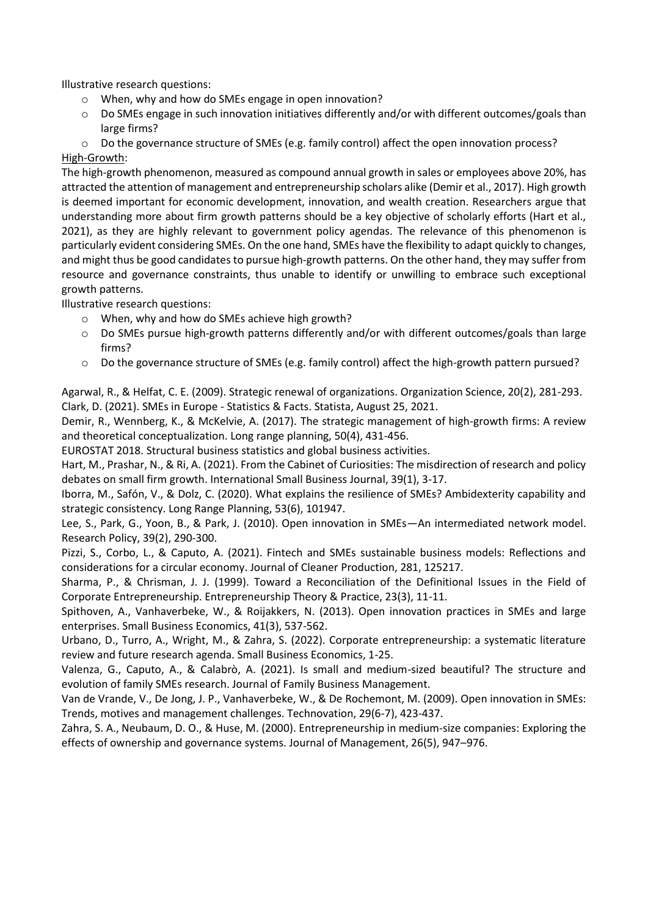Illustrative research questions:

- o When, why and how do SMEs engage in open innovation?
- o Do SMEs engage in such innovation initiatives differently and/or with different outcomes/goals than large firms?
- o Do the governance structure of SMEs (e.g. family control) affect the open innovation process? High-Growth:

The high-growth phenomenon, measured as compound annual growth in sales or employees above 20%, has attracted the attention of management and entrepreneurship scholars alike (Demir et al., 2017). High growth is deemed important for economic development, innovation, and wealth creation. Researchers argue that understanding more about firm growth patterns should be a key objective of scholarly efforts (Hart et al., 2021), as they are highly relevant to government policy agendas. The relevance of this phenomenon is particularly evident considering SMEs. On the one hand, SMEs have the flexibility to adapt quickly to changes, and might thus be good candidates to pursue high-growth patterns. On the other hand, they may suffer from resource and governance constraints, thus unable to identify or unwilling to embrace such exceptional growth patterns.

Illustrative research questions:

- o When, why and how do SMEs achieve high growth?
- o Do SMEs pursue high-growth patterns differently and/or with different outcomes/goals than large firms?
- o Do the governance structure of SMEs (e.g. family control) affect the high-growth pattern pursued?

Agarwal, R., & Helfat, C. E. (2009). Strategic renewal of organizations. Organization Science, 20(2), 281-293. Clark, D. (2021). SMEs in Europe - Statistics & Facts. Statista, August 25, 2021.

Demir, R., Wennberg, K., & McKelvie, A. (2017). The strategic management of high-growth firms: A review and theoretical conceptualization. Long range planning, 50(4), 431-456.

EUROSTAT 2018. Structural business statistics and global business activities.

Hart, M., Prashar, N., & Ri, A. (2021). From the Cabinet of Curiosities: The misdirection of research and policy debates on small firm growth. International Small Business Journal, 39(1), 3-17.

Iborra, M., Safón, V., & Dolz, C. (2020). What explains the resilience of SMEs? Ambidexterity capability and strategic consistency. Long Range Planning, 53(6), 101947.

Lee, S., Park, G., Yoon, B., & Park, J. (2010). Open innovation in SMEs—An intermediated network model. Research Policy, 39(2), 290-300.

Pizzi, S., Corbo, L., & Caputo, A. (2021). Fintech and SMEs sustainable business models: Reflections and considerations for a circular economy. Journal of Cleaner Production, 281, 125217.

Sharma, P., & Chrisman, J. J. (1999). Toward a Reconciliation of the Definitional Issues in the Field of Corporate Entrepreneurship. Entrepreneurship Theory & Practice, 23(3), 11-11.

Spithoven, A., Vanhaverbeke, W., & Roijakkers, N. (2013). Open innovation practices in SMEs and large enterprises. Small Business Economics, 41(3), 537-562.

Urbano, D., Turro, A., Wright, M., & Zahra, S. (2022). Corporate entrepreneurship: a systematic literature review and future research agenda. Small Business Economics, 1-25.

Valenza, G., Caputo, A., & Calabrò, A. (2021). Is small and medium-sized beautiful? The structure and evolution of family SMEs research. Journal of Family Business Management.

Van de Vrande, V., De Jong, J. P., Vanhaverbeke, W., & De Rochemont, M. (2009). Open innovation in SMEs: Trends, motives and management challenges. Technovation, 29(6-7), 423-437.

Zahra, S. A., Neubaum, D. O., & Huse, M. (2000). Entrepreneurship in medium-size companies: Exploring the effects of ownership and governance systems. Journal of Management, 26(5), 947–976.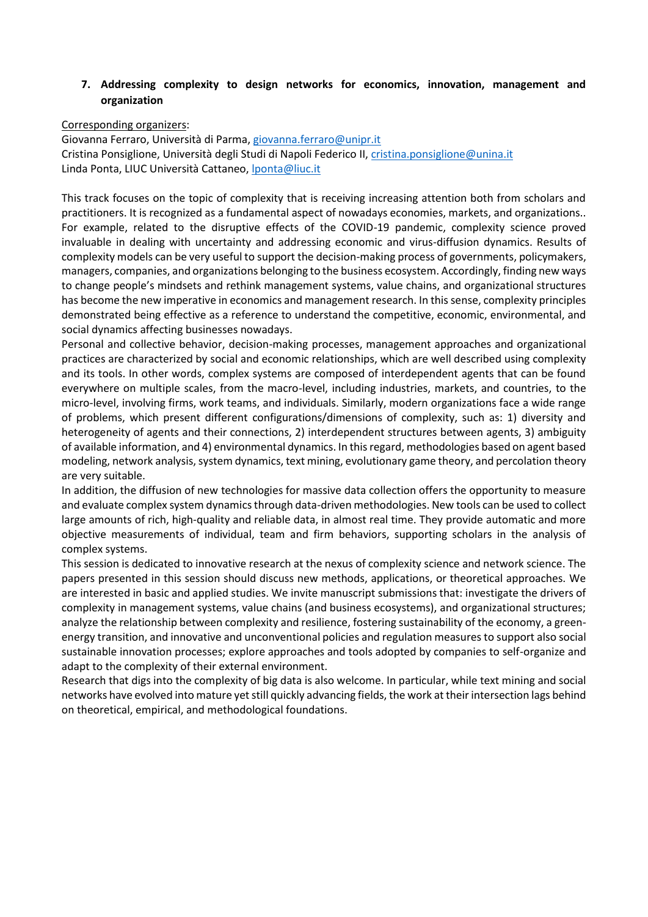### **7. Addressing complexity to design networks for economics, innovation, management and organization**

#### Corresponding organizers:

Giovanna Ferraro, Università di Parma, [giovanna.ferraro@unipr.it](mailto:giovanna.ferraro@unipr.it) Cristina Ponsiglione, Università degli Studi di Napoli Federico II, [cristina.ponsiglione@unina.it](mailto:cristina.ponsiglione@unina.it) Linda Ponta, LIUC Università Cattaneo, *ponta@liuc.it* 

This track focuses on the topic of complexity that is receiving increasing attention both from scholars and practitioners. It is recognized as a fundamental aspect of nowadays economies, markets, and organizations.. For example, related to the disruptive effects of the COVID-19 pandemic, complexity science proved invaluable in dealing with uncertainty and addressing economic and virus-diffusion dynamics. Results of complexity models can be very useful to support the decision-making process of governments, policymakers, managers, companies, and organizations belonging to the business ecosystem. Accordingly, finding new ways to change people's mindsets and rethink management systems, value chains, and organizational structures has become the new imperative in economics and management research. In this sense, complexity principles demonstrated being effective as a reference to understand the competitive, economic, environmental, and social dynamics affecting businesses nowadays.

Personal and collective behavior, decision-making processes, management approaches and organizational practices are characterized by social and economic relationships, which are well described using complexity and its tools. In other words, complex systems are composed of interdependent agents that can be found everywhere on multiple scales, from the macro-level, including industries, markets, and countries, to the micro-level, involving firms, work teams, and individuals. Similarly, modern organizations face a wide range of problems, which present different configurations/dimensions of complexity, such as: 1) diversity and heterogeneity of agents and their connections, 2) interdependent structures between agents, 3) ambiguity of available information, and 4) environmental dynamics. In this regard, methodologies based on agent based modeling, network analysis, system dynamics, text mining, evolutionary game theory, and percolation theory are very suitable.

In addition, the diffusion of new technologies for massive data collection offers the opportunity to measure and evaluate complex system dynamics through data-driven methodologies. New tools can be used to collect large amounts of rich, high-quality and reliable data, in almost real time. They provide automatic and more objective measurements of individual, team and firm behaviors, supporting scholars in the analysis of complex systems.

This session is dedicated to innovative research at the nexus of complexity science and network science. The papers presented in this session should discuss new methods, applications, or theoretical approaches. We are interested in basic and applied studies. We invite manuscript submissions that: investigate the drivers of complexity in management systems, value chains (and business ecosystems), and organizational structures; analyze the relationship between complexity and resilience, fostering sustainability of the economy, a greenenergy transition, and innovative and unconventional policies and regulation measures to support also social sustainable innovation processes; explore approaches and tools adopted by companies to self-organize and adapt to the complexity of their external environment.

Research that digs into the complexity of big data is also welcome. In particular, while text mining and social networks have evolved into mature yet still quickly advancing fields, the work at their intersection lags behind on theoretical, empirical, and methodological foundations.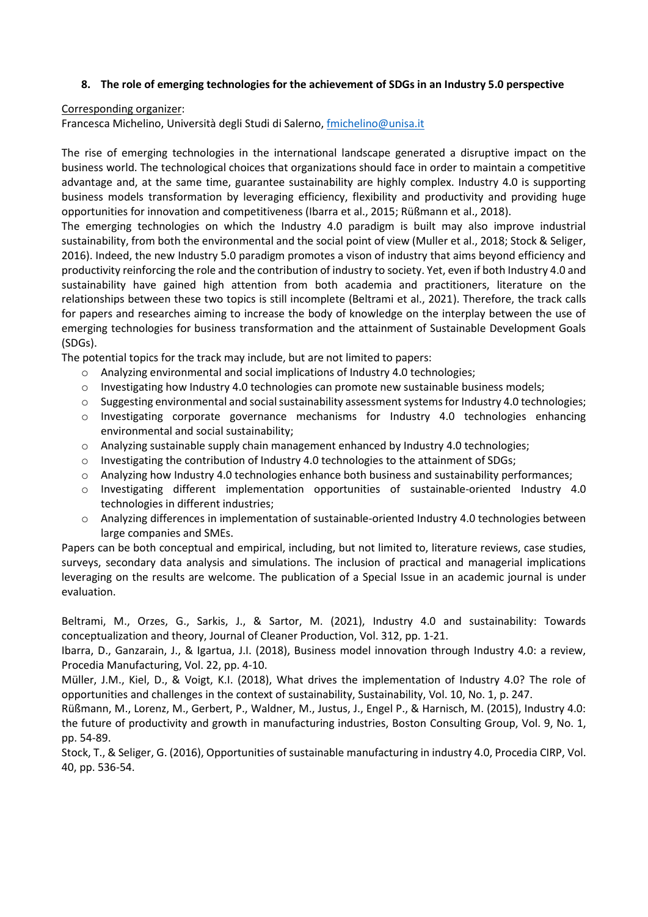### **8. The role of emerging technologies for the achievement of SDGs in an Industry 5.0 perspective**

#### Corresponding organizer:

Francesca Michelino, Università degli Studi di Salerno, [fmichelino@unisa.it](mailto:fmichelino@unisa.it)

The rise of emerging technologies in the international landscape generated a disruptive impact on the business world. The technological choices that organizations should face in order to maintain a competitive advantage and, at the same time, guarantee sustainability are highly complex. Industry 4.0 is supporting business models transformation by leveraging efficiency, flexibility and productivity and providing huge opportunities for innovation and competitiveness (Ibarra et al., 2015; Rüßmann et al., 2018).

The emerging technologies on which the Industry 4.0 paradigm is built may also improve industrial sustainability, from both the environmental and the social point of view (Muller et al., 2018; Stock & Seliger, 2016). Indeed, the new Industry 5.0 paradigm promotes a vison of industry that aims beyond efficiency and productivity reinforcing the role and the contribution of industry to society. Yet, even if both Industry 4.0 and sustainability have gained high attention from both academia and practitioners, literature on the relationships between these two topics is still incomplete (Beltrami et al., 2021). Therefore, the track calls for papers and researches aiming to increase the body of knowledge on the interplay between the use of emerging technologies for business transformation and the attainment of Sustainable Development Goals (SDGs).

The potential topics for the track may include, but are not limited to papers:

- o Analyzing environmental and social implications of Industry 4.0 technologies;
- o Investigating how Industry 4.0 technologies can promote new sustainable business models;
- $\circ$  Suggesting environmental and social sustainability assessment systems for Industry 4.0 technologies;
- o Investigating corporate governance mechanisms for Industry 4.0 technologies enhancing environmental and social sustainability;
- o Analyzing sustainable supply chain management enhanced by Industry 4.0 technologies;
- o Investigating the contribution of Industry 4.0 technologies to the attainment of SDGs;
- o Analyzing how Industry 4.0 technologies enhance both business and sustainability performances;
- o Investigating different implementation opportunities of sustainable-oriented Industry 4.0 technologies in different industries;
- $\circ$  Analyzing differences in implementation of sustainable-oriented Industry 4.0 technologies between large companies and SMEs.

Papers can be both conceptual and empirical, including, but not limited to, literature reviews, case studies, surveys, secondary data analysis and simulations. The inclusion of practical and managerial implications leveraging on the results are welcome. The publication of a Special Issue in an academic journal is under evaluation.

Beltrami, M., Orzes, G., Sarkis, J., & Sartor, M. (2021), Industry 4.0 and sustainability: Towards conceptualization and theory, Journal of Cleaner Production, Vol. 312, pp. 1-21.

Ibarra, D., Ganzarain, J., & Igartua, J.I. (2018), Business model innovation through Industry 4.0: a review, Procedia Manufacturing, Vol. 22, pp. 4-10.

Müller, J.M., Kiel, D., & Voigt, K.I. (2018), What drives the implementation of Industry 4.0? The role of opportunities and challenges in the context of sustainability, Sustainability, Vol. 10, No. 1, p. 247.

Rüßmann, M., Lorenz, M., Gerbert, P., Waldner, M., Justus, J., Engel P., & Harnisch, M. (2015), Industry 4.0: the future of productivity and growth in manufacturing industries, Boston Consulting Group, Vol. 9, No. 1, pp. 54-89.

Stock, T., & Seliger, G. (2016), Opportunities of sustainable manufacturing in industry 4.0, Procedia CIRP, Vol. 40, pp. 536-54.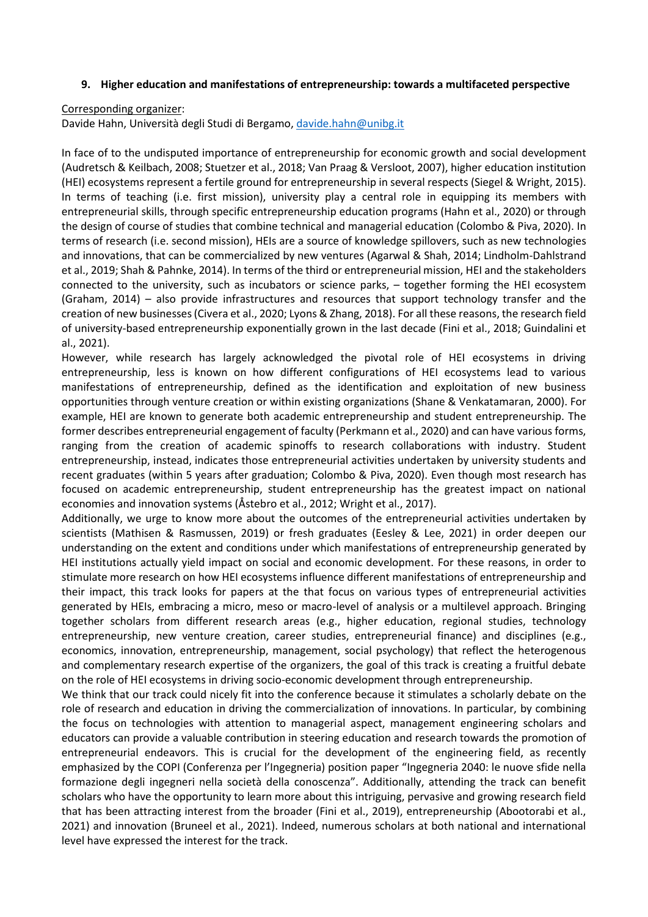#### **9. Higher education and manifestations of entrepreneurship: towards a multifaceted perspective**

#### Corresponding organizer:

Davide Hahn, Università degli Studi di Bergamo, [davide.hahn@unibg.it](mailto:davide.hahn@unibg.it)

In face of to the undisputed importance of entrepreneurship for economic growth and social development (Audretsch & Keilbach, 2008; Stuetzer et al., 2018; Van Praag & Versloot, 2007), higher education institution (HEI) ecosystems represent a fertile ground for entrepreneurship in several respects (Siegel & Wright, 2015). In terms of teaching (i.e. first mission), university play a central role in equipping its members with entrepreneurial skills, through specific entrepreneurship education programs (Hahn et al., 2020) or through the design of course of studies that combine technical and managerial education (Colombo & Piva, 2020). In terms of research (i.e. second mission), HEIs are a source of knowledge spillovers, such as new technologies and innovations, that can be commercialized by new ventures (Agarwal & Shah, 2014; Lindholm-Dahlstrand et al., 2019; Shah & Pahnke, 2014). In terms of the third or entrepreneurial mission, HEI and the stakeholders connected to the university, such as incubators or science parks, – together forming the HEI ecosystem (Graham, 2014) – also provide infrastructures and resources that support technology transfer and the creation of new businesses (Civera et al., 2020; Lyons & Zhang, 2018). For all these reasons, the research field of university-based entrepreneurship exponentially grown in the last decade (Fini et al., 2018; Guindalini et al., 2021).

However, while research has largely acknowledged the pivotal role of HEI ecosystems in driving entrepreneurship, less is known on how different configurations of HEI ecosystems lead to various manifestations of entrepreneurship, defined as the identification and exploitation of new business opportunities through venture creation or within existing organizations (Shane & Venkatamaran, 2000). For example, HEI are known to generate both academic entrepreneurship and student entrepreneurship. The former describes entrepreneurial engagement of faculty (Perkmann et al., 2020) and can have various forms, ranging from the creation of academic spinoffs to research collaborations with industry. Student entrepreneurship, instead, indicates those entrepreneurial activities undertaken by university students and recent graduates (within 5 years after graduation; Colombo & Piva, 2020). Even though most research has focused on academic entrepreneurship, student entrepreneurship has the greatest impact on national economies and innovation systems (Åstebro et al., 2012; Wright et al., 2017).

Additionally, we urge to know more about the outcomes of the entrepreneurial activities undertaken by scientists (Mathisen & Rasmussen, 2019) or fresh graduates (Eesley & Lee, 2021) in order deepen our understanding on the extent and conditions under which manifestations of entrepreneurship generated by HEI institutions actually yield impact on social and economic development. For these reasons, in order to stimulate more research on how HEI ecosystems influence different manifestations of entrepreneurship and their impact, this track looks for papers at the that focus on various types of entrepreneurial activities generated by HEIs, embracing a micro, meso or macro-level of analysis or a multilevel approach. Bringing together scholars from different research areas (e.g., higher education, regional studies, technology entrepreneurship, new venture creation, career studies, entrepreneurial finance) and disciplines (e.g., economics, innovation, entrepreneurship, management, social psychology) that reflect the heterogenous and complementary research expertise of the organizers, the goal of this track is creating a fruitful debate on the role of HEI ecosystems in driving socio-economic development through entrepreneurship.

We think that our track could nicely fit into the conference because it stimulates a scholarly debate on the role of research and education in driving the commercialization of innovations. In particular, by combining the focus on technologies with attention to managerial aspect, management engineering scholars and educators can provide a valuable contribution in steering education and research towards the promotion of entrepreneurial endeavors. This is crucial for the development of the engineering field, as recently emphasized by the COPI (Conferenza per l'Ingegneria) position paper "Ingegneria 2040: le nuove sfide nella formazione degli ingegneri nella società della conoscenza". Additionally, attending the track can benefit scholars who have the opportunity to learn more about this intriguing, pervasive and growing research field that has been attracting interest from the broader (Fini et al., 2019), entrepreneurship (Abootorabi et al., 2021) and innovation (Bruneel et al., 2021). Indeed, numerous scholars at both national and international level have expressed the interest for the track.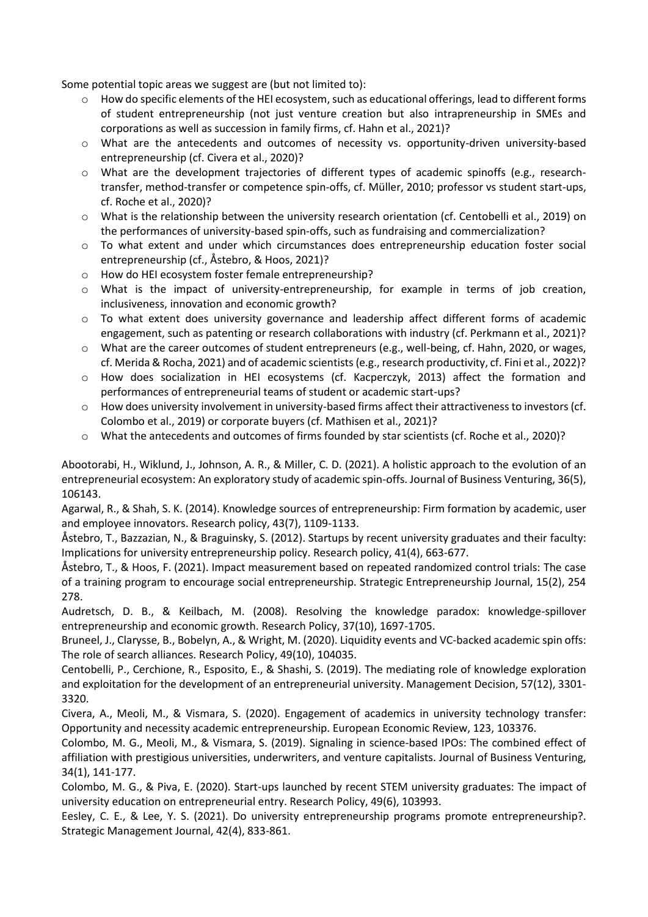Some potential topic areas we suggest are (but not limited to):

- $\circ$  How do specific elements of the HEI ecosystem, such as educational offerings, lead to different forms of student entrepreneurship (not just venture creation but also intrapreneurship in SMEs and corporations as well as succession in family firms, cf. Hahn et al., 2021)?
- o What are the antecedents and outcomes of necessity vs. opportunity-driven university-based entrepreneurship (cf. Civera et al., 2020)?
- o What are the development trajectories of different types of academic spinoffs (e.g., researchtransfer, method-transfer or competence spin-offs, cf. Müller, 2010; professor vs student start-ups, cf. Roche et al., 2020)?
- o What is the relationship between the university research orientation (cf. Centobelli et al., 2019) on the performances of university-based spin-offs, such as fundraising and commercialization?
- o To what extent and under which circumstances does entrepreneurship education foster social entrepreneurship (cf., Åstebro, & Hoos, 2021)?
- o How do HEI ecosystem foster female entrepreneurship?
- o What is the impact of university-entrepreneurship, for example in terms of job creation, inclusiveness, innovation and economic growth?
- o To what extent does university governance and leadership affect different forms of academic engagement, such as patenting or research collaborations with industry (cf. Perkmann et al., 2021)?
- o What are the career outcomes of student entrepreneurs (e.g., well-being, cf. Hahn, 2020, or wages, cf. Merida & Rocha, 2021) and of academic scientists (e.g., research productivity, cf. Fini et al., 2022)?
- o How does socialization in HEI ecosystems (cf. Kacperczyk, 2013) affect the formation and performances of entrepreneurial teams of student or academic start-ups?
- o How does university involvement in university-based firms affect their attractiveness to investors (cf. Colombo et al., 2019) or corporate buyers (cf. Mathisen et al., 2021)?
- o What the antecedents and outcomes of firms founded by star scientists (cf. Roche et al., 2020)?

Abootorabi, H., Wiklund, J., Johnson, A. R., & Miller, C. D. (2021). A holistic approach to the evolution of an entrepreneurial ecosystem: An exploratory study of academic spin-offs. Journal of Business Venturing, 36(5), 106143.

Agarwal, R., & Shah, S. K. (2014). Knowledge sources of entrepreneurship: Firm formation by academic, user and employee innovators. Research policy, 43(7), 1109-1133.

Åstebro, T., Bazzazian, N., & Braguinsky, S. (2012). Startups by recent university graduates and their faculty: Implications for university entrepreneurship policy. Research policy, 41(4), 663-677.

Åstebro, T., & Hoos, F. (2021). Impact measurement based on repeated randomized control trials: The case of a training program to encourage social entrepreneurship. Strategic Entrepreneurship Journal, 15(2), 254 278.

Audretsch, D. B., & Keilbach, M. (2008). Resolving the knowledge paradox: knowledge-spillover entrepreneurship and economic growth. Research Policy, 37(10), 1697-1705.

Bruneel, J., Clarysse, B., Bobelyn, A., & Wright, M. (2020). Liquidity events and VC-backed academic spin offs: The role of search alliances. Research Policy, 49(10), 104035.

Centobelli, P., Cerchione, R., Esposito, E., & Shashi, S. (2019). The mediating role of knowledge exploration and exploitation for the development of an entrepreneurial university. Management Decision, 57(12), 3301- 3320.

Civera, A., Meoli, M., & Vismara, S. (2020). Engagement of academics in university technology transfer: Opportunity and necessity academic entrepreneurship. European Economic Review, 123, 103376.

Colombo, M. G., Meoli, M., & Vismara, S. (2019). Signaling in science-based IPOs: The combined effect of affiliation with prestigious universities, underwriters, and venture capitalists. Journal of Business Venturing, 34(1), 141-177.

Colombo, M. G., & Piva, E. (2020). Start-ups launched by recent STEM university graduates: The impact of university education on entrepreneurial entry. Research Policy, 49(6), 103993.

Eesley, C. E., & Lee, Y. S. (2021). Do university entrepreneurship programs promote entrepreneurship?. Strategic Management Journal, 42(4), 833-861.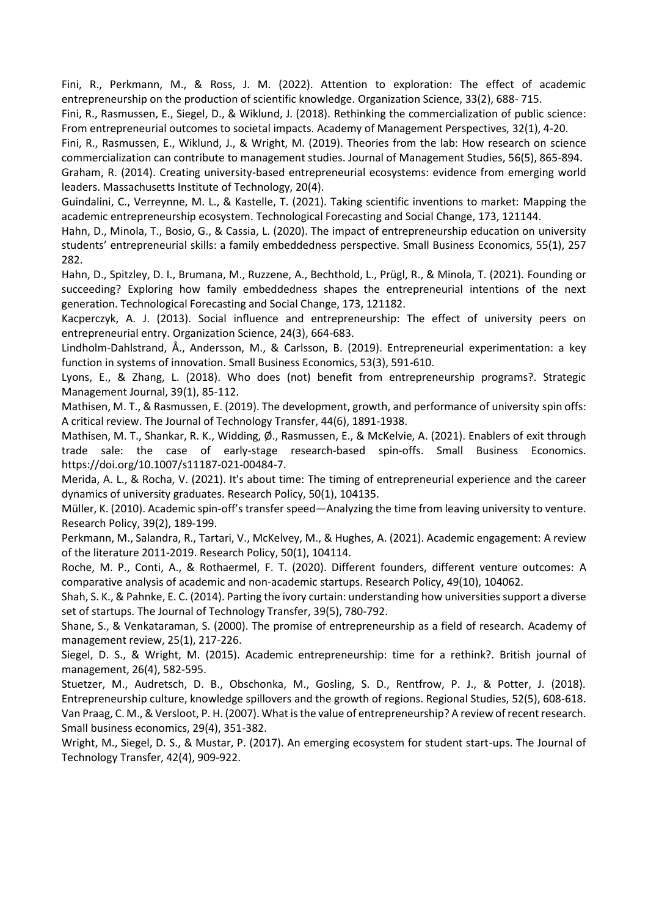Fini, R., Perkmann, M., & Ross, J. M. (2022). Attention to exploration: The effect of academic entrepreneurship on the production of scientific knowledge. Organization Science, 33(2), 688- 715.

Fini, R., Rasmussen, E., Siegel, D., & Wiklund, J. (2018). Rethinking the commercialization of public science: From entrepreneurial outcomes to societal impacts. Academy of Management Perspectives, 32(1), 4-20.

Fini, R., Rasmussen, E., Wiklund, J., & Wright, M. (2019). Theories from the lab: How research on science commercialization can contribute to management studies. Journal of Management Studies, 56(5), 865-894.

Graham, R. (2014). Creating university-based entrepreneurial ecosystems: evidence from emerging world leaders. Massachusetts Institute of Technology, 20(4).

Guindalini, C., Verreynne, M. L., & Kastelle, T. (2021). Taking scientific inventions to market: Mapping the academic entrepreneurship ecosystem. Technological Forecasting and Social Change, 173, 121144.

Hahn, D., Minola, T., Bosio, G., & Cassia, L. (2020). The impact of entrepreneurship education on university students' entrepreneurial skills: a family embeddedness perspective. Small Business Economics, 55(1), 257 282.

Hahn, D., Spitzley, D. I., Brumana, M., Ruzzene, A., Bechthold, L., Prügl, R., & Minola, T. (2021). Founding or succeeding? Exploring how family embeddedness shapes the entrepreneurial intentions of the next generation. Technological Forecasting and Social Change, 173, 121182.

Kacperczyk, A. J. (2013). Social influence and entrepreneurship: The effect of university peers on entrepreneurial entry. Organization Science, 24(3), 664-683.

Lindholm-Dahlstrand, Å., Andersson, M., & Carlsson, B. (2019). Entrepreneurial experimentation: a key function in systems of innovation. Small Business Economics, 53(3), 591-610.

Lyons, E., & Zhang, L. (2018). Who does (not) benefit from entrepreneurship programs?. Strategic Management Journal, 39(1), 85-112.

Mathisen, M. T., & Rasmussen, E. (2019). The development, growth, and performance of university spin offs: A critical review. The Journal of Technology Transfer, 44(6), 1891-1938.

Mathisen, M. T., Shankar, R. K., Widding, Ø., Rasmussen, E., & McKelvie, A. (2021). Enablers of exit through trade sale: the case of early-stage research-based spin-offs. Small Business Economics. https://doi.org/10.1007/s11187-021-00484-7.

Merida, A. L., & Rocha, V. (2021). It's about time: The timing of entrepreneurial experience and the career dynamics of university graduates. Research Policy, 50(1), 104135.

Müller, K. (2010). Academic spin-off's transfer speed—Analyzing the time from leaving university to venture. Research Policy, 39(2), 189-199.

Perkmann, M., Salandra, R., Tartari, V., McKelvey, M., & Hughes, A. (2021). Academic engagement: A review of the literature 2011-2019. Research Policy, 50(1), 104114.

Roche, M. P., Conti, A., & Rothaermel, F. T. (2020). Different founders, different venture outcomes: A comparative analysis of academic and non-academic startups. Research Policy, 49(10), 104062.

Shah, S. K., & Pahnke, E. C. (2014). Parting the ivory curtain: understanding how universities support a diverse set of startups. The Journal of Technology Transfer, 39(5), 780-792.

Shane, S., & Venkataraman, S. (2000). The promise of entrepreneurship as a field of research. Academy of management review, 25(1), 217-226.

Siegel, D. S., & Wright, M. (2015). Academic entrepreneurship: time for a rethink?. British journal of management, 26(4), 582-595.

Stuetzer, M., Audretsch, D. B., Obschonka, M., Gosling, S. D., Rentfrow, P. J., & Potter, J. (2018). Entrepreneurship culture, knowledge spillovers and the growth of regions. Regional Studies, 52(5), 608-618. Van Praag, C. M., & Versloot, P. H. (2007). What is the value of entrepreneurship? A review of recentresearch. Small business economics, 29(4), 351-382.

Wright, M., Siegel, D. S., & Mustar, P. (2017). An emerging ecosystem for student start-ups. The Journal of Technology Transfer, 42(4), 909-922.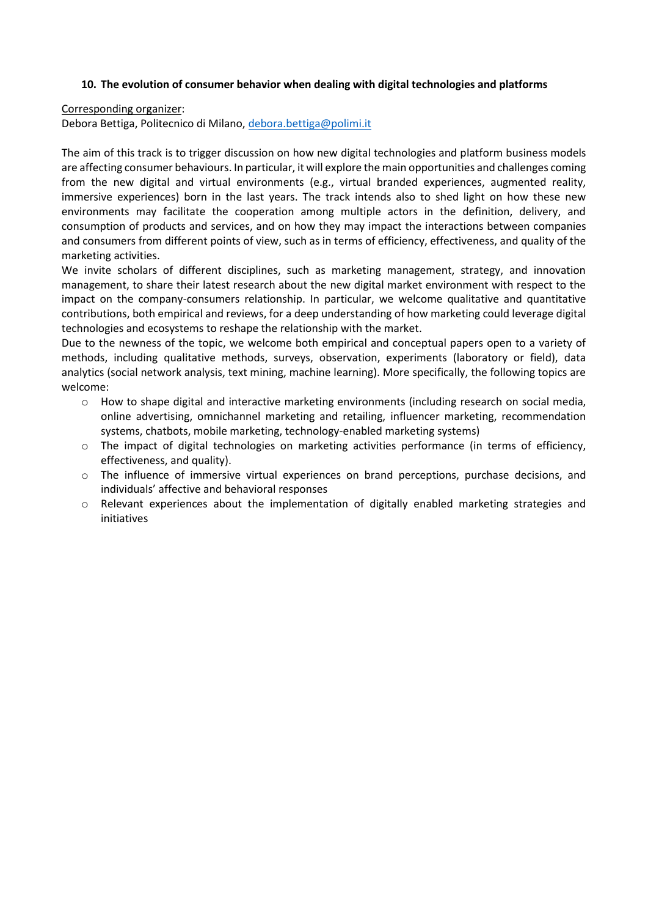### **10. The evolution of consumer behavior when dealing with digital technologies and platforms**

Corresponding organizer:

Debora Bettiga, Politecnico di Milano, [debora.bettiga@polimi.it](mailto:debora.bettiga@polimi.it)

The aim of this track is to trigger discussion on how new digital technologies and platform business models are affecting consumer behaviours. In particular, it will explore the main opportunities and challenges coming from the new digital and virtual environments (e.g., virtual branded experiences, augmented reality, immersive experiences) born in the last years. The track intends also to shed light on how these new environments may facilitate the cooperation among multiple actors in the definition, delivery, and consumption of products and services, and on how they may impact the interactions between companies and consumers from different points of view, such as in terms of efficiency, effectiveness, and quality of the marketing activities.

We invite scholars of different disciplines, such as marketing management, strategy, and innovation management, to share their latest research about the new digital market environment with respect to the impact on the company-consumers relationship. In particular, we welcome qualitative and quantitative contributions, both empirical and reviews, for a deep understanding of how marketing could leverage digital technologies and ecosystems to reshape the relationship with the market.

Due to the newness of the topic, we welcome both empirical and conceptual papers open to a variety of methods, including qualitative methods, surveys, observation, experiments (laboratory or field), data analytics (social network analysis, text mining, machine learning). More specifically, the following topics are welcome:

- o How to shape digital and interactive marketing environments (including research on social media, online advertising, omnichannel marketing and retailing, influencer marketing, recommendation systems, chatbots, mobile marketing, technology-enabled marketing systems)
- $\circ$  The impact of digital technologies on marketing activities performance (in terms of efficiency, effectiveness, and quality).
- o The influence of immersive virtual experiences on brand perceptions, purchase decisions, and individuals' affective and behavioral responses
- o Relevant experiences about the implementation of digitally enabled marketing strategies and initiatives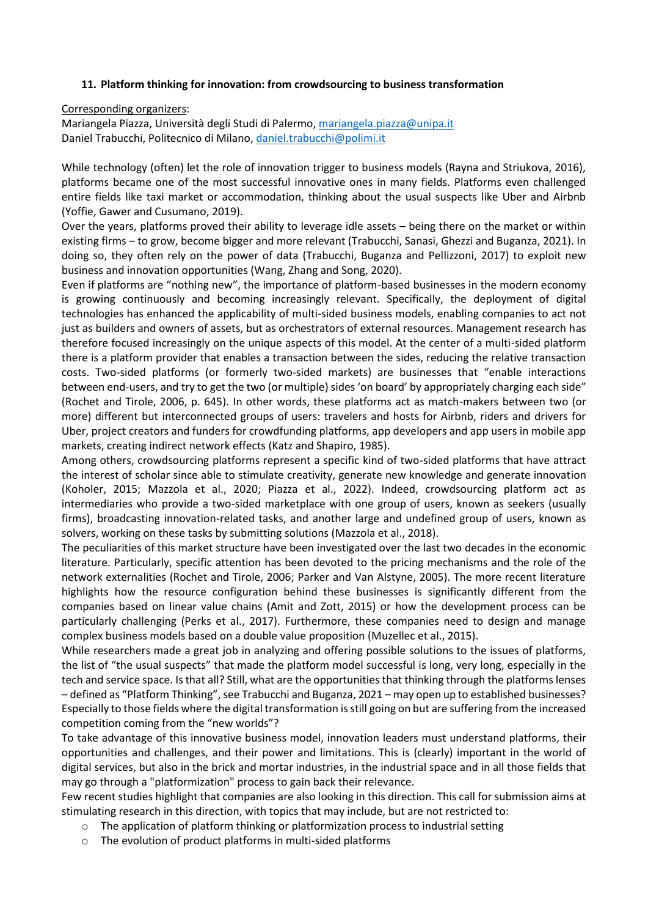### **11. Platform thinking for innovation: from crowdsourcing to business transformation**

Corresponding organizers:

Mariangela Piazza, Università degli Studi di Palermo, [mariangela.piazza@unipa.it](mailto:mariangela.piazza@unipa.it) Daniel Trabucchi, Politecnico di Milano, [daniel.trabucchi@polimi.it](mailto:daniel.trabucchi@polimi.it)

While technology (often) let the role of innovation trigger to business models (Rayna and Striukova, 2016), platforms became one of the most successful innovative ones in many fields. Platforms even challenged entire fields like taxi market or accommodation, thinking about the usual suspects like Uber and Airbnb (Yoffie, Gawer and Cusumano, 2019).

Over the years, platforms proved their ability to leverage idle assets – being there on the market or within existing firms – to grow, become bigger and more relevant (Trabucchi, Sanasi, Ghezzi and Buganza, 2021). In doing so, they often rely on the power of data (Trabucchi, Buganza and Pellizzoni, 2017) to exploit new business and innovation opportunities (Wang, Zhang and Song, 2020).

Even if platforms are "nothing new", the importance of platform-based businesses in the modern economy is growing continuously and becoming increasingly relevant. Specifically, the deployment of digital technologies has enhanced the applicability of multi-sided business models, enabling companies to act not just as builders and owners of assets, but as orchestrators of external resources. Management research has therefore focused increasingly on the unique aspects of this model. At the center of a multi-sided platform there is a platform provider that enables a transaction between the sides, reducing the relative transaction costs. Two-sided platforms (or formerly two-sided markets) are businesses that "enable interactions between end-users, and try to get the two (or multiple) sides 'on board' by appropriately charging each side" (Rochet and Tirole, 2006, p. 645). In other words, these platforms act as match-makers between two (or more) different but interconnected groups of users: travelers and hosts for Airbnb, riders and drivers for Uber, project creators and funders for crowdfunding platforms, app developers and app users in mobile app markets, creating indirect network effects (Katz and Shapiro, 1985).

Among others, crowdsourcing platforms represent a specific kind of two-sided platforms that have attract the interest of scholar since able to stimulate creativity, generate new knowledge and generate innovation (Koholer, 2015; Mazzola et al., 2020; Piazza et al., 2022). Indeed, crowdsourcing platform act as intermediaries who provide a two-sided marketplace with one group of users, known as seekers (usually firms), broadcasting innovation-related tasks, and another large and undefined group of users, known as solvers, working on these tasks by submitting solutions (Mazzola et al., 2018).

The peculiarities of this market structure have been investigated over the last two decades in the economic literature. Particularly, specific attention has been devoted to the pricing mechanisms and the role of the network externalities (Rochet and Tirole, 2006; Parker and Van Alstyne, 2005). The more recent literature highlights how the resource configuration behind these businesses is significantly different from the companies based on linear value chains (Amit and Zott, 2015) or how the development process can be particularly challenging (Perks et al., 2017). Furthermore, these companies need to design and manage complex business models based on a double value proposition (Muzellec et al., 2015).

While researchers made a great job in analyzing and offering possible solutions to the issues of platforms, the list of "the usual suspects" that made the platform model successful is long, very long, especially in the tech and service space. Is that all? Still, what are the opportunities that thinking through the platforms lenses – defined as "Platform Thinking", see Trabucchi and Buganza, 2021 – may open up to established businesses? Especially to those fields where the digital transformation is still going on but are suffering from the increased competition coming from the "new worlds"?

To take advantage of this innovative business model, innovation leaders must understand platforms, their opportunities and challenges, and their power and limitations. This is (clearly) important in the world of digital services, but also in the brick and mortar industries, in the industrial space and in all those fields that may go through a "platformization" process to gain back their relevance.

Few recent studies highlight that companies are also looking in this direction. This call for submission aims at stimulating research in this direction, with topics that may include, but are not restricted to:

- o The application of platform thinking or platformization process to industrial setting
- o The evolution of product platforms in multi-sided platforms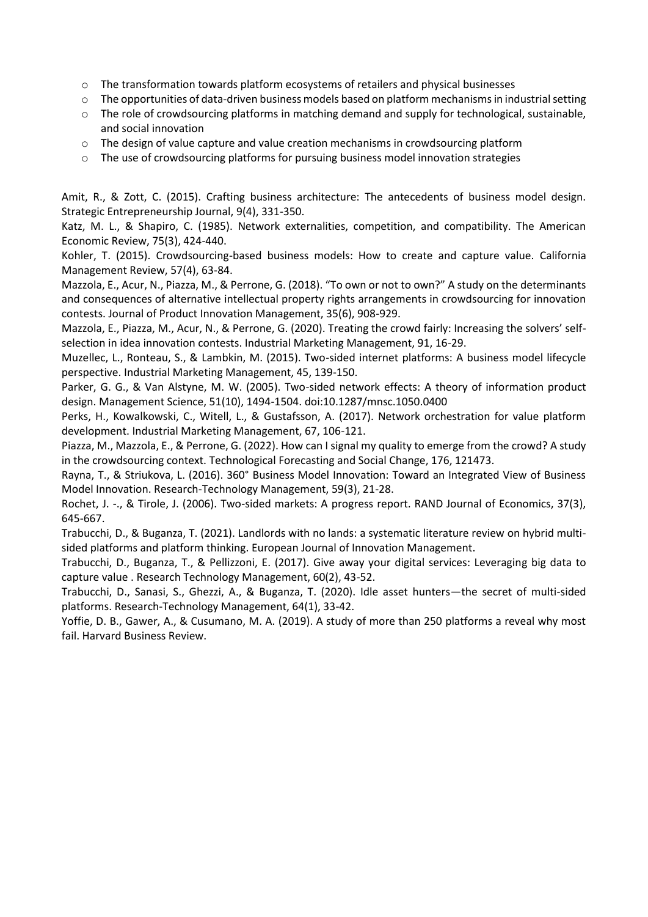- o The transformation towards platform ecosystems of retailers and physical businesses
- $\circ$  The opportunities of data-driven business models based on platform mechanisms in industrial setting
- o The role of crowdsourcing platforms in matching demand and supply for technological, sustainable, and social innovation
- $\circ$  The design of value capture and value creation mechanisms in crowdsourcing platform
- $\circ$  The use of crowdsourcing platforms for pursuing business model innovation strategies

Amit, R., & Zott, C. (2015). Crafting business architecture: The antecedents of business model design. Strategic Entrepreneurship Journal, 9(4), 331-350.

Katz, M. L., & Shapiro, C. (1985). Network externalities, competition, and compatibility. The American Economic Review, 75(3), 424-440.

Kohler, T. (2015). Crowdsourcing-based business models: How to create and capture value. California Management Review, 57(4), 63-84.

Mazzola, E., Acur, N., Piazza, M., & Perrone, G. (2018). "To own or not to own?" A study on the determinants and consequences of alternative intellectual property rights arrangements in crowdsourcing for innovation contests. Journal of Product Innovation Management, 35(6), 908-929.

Mazzola, E., Piazza, M., Acur, N., & Perrone, G. (2020). Treating the crowd fairly: Increasing the solvers' selfselection in idea innovation contests. Industrial Marketing Management, 91, 16-29.

Muzellec, L., Ronteau, S., & Lambkin, M. (2015). Two-sided internet platforms: A business model lifecycle perspective. Industrial Marketing Management, 45, 139-150.

Parker, G. G., & Van Alstyne, M. W. (2005). Two-sided network effects: A theory of information product design. Management Science, 51(10), 1494-1504. doi:10.1287/mnsc.1050.0400

Perks, H., Kowalkowski, C., Witell, L., & Gustafsson, A. (2017). Network orchestration for value platform development. Industrial Marketing Management, 67, 106-121.

Piazza, M., Mazzola, E., & Perrone, G. (2022). How can I signal my quality to emerge from the crowd? A study in the crowdsourcing context. Technological Forecasting and Social Change, 176, 121473.

Rayna, T., & Striukova, L. (2016). 360° Business Model Innovation: Toward an Integrated View of Business Model Innovation. Research-Technology Management, 59(3), 21-28.

Rochet, J. -., & Tirole, J. (2006). Two-sided markets: A progress report. RAND Journal of Economics, 37(3), 645-667.

Trabucchi, D., & Buganza, T. (2021). Landlords with no lands: a systematic literature review on hybrid multisided platforms and platform thinking. European Journal of Innovation Management.

Trabucchi, D., Buganza, T., & Pellizzoni, E. (2017). Give away your digital services: Leveraging big data to capture value . Research Technology Management, 60(2), 43-52.

Trabucchi, D., Sanasi, S., Ghezzi, A., & Buganza, T. (2020). Idle asset hunters—the secret of multi-sided platforms. Research-Technology Management, 64(1), 33-42.

Yoffie, D. B., Gawer, A., & Cusumano, M. A. (2019). A study of more than 250 platforms a reveal why most fail. Harvard Business Review.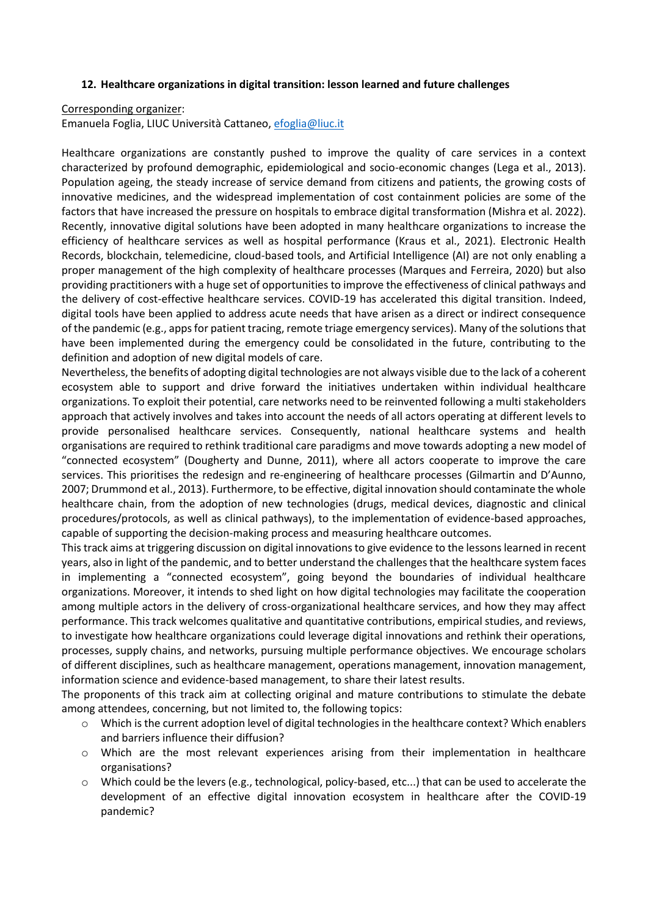#### **12. Healthcare organizations in digital transition: lesson learned and future challenges**

Corresponding organizer:

Emanuela Foglia, LIUC Università Cattaneo, [efoglia@liuc.it](mailto:efoglia@liuc.it)

Healthcare organizations are constantly pushed to improve the quality of care services in a context characterized by profound demographic, epidemiological and socio-economic changes (Lega et al., 2013). Population ageing, the steady increase of service demand from citizens and patients, the growing costs of innovative medicines, and the widespread implementation of cost containment policies are some of the factors that have increased the pressure on hospitals to embrace digital transformation (Mishra et al. 2022). Recently, innovative digital solutions have been adopted in many healthcare organizations to increase the efficiency of healthcare services as well as hospital performance (Kraus et al., 2021). Electronic Health Records, blockchain, telemedicine, cloud-based tools, and Artificial Intelligence (AI) are not only enabling a proper management of the high complexity of healthcare processes (Marques and Ferreira, 2020) but also providing practitioners with a huge set of opportunities to improve the effectiveness of clinical pathways and the delivery of cost-effective healthcare services. COVID-19 has accelerated this digital transition. Indeed, digital tools have been applied to address acute needs that have arisen as a direct or indirect consequence of the pandemic (e.g., apps for patient tracing, remote triage emergency services). Many of the solutions that have been implemented during the emergency could be consolidated in the future, contributing to the definition and adoption of new digital models of care.

Nevertheless, the benefits of adopting digital technologies are not always visible due to the lack of a coherent ecosystem able to support and drive forward the initiatives undertaken within individual healthcare organizations. To exploit their potential, care networks need to be reinvented following a multi stakeholders approach that actively involves and takes into account the needs of all actors operating at different levels to provide personalised healthcare services. Consequently, national healthcare systems and health organisations are required to rethink traditional care paradigms and move towards adopting a new model of "connected ecosystem" (Dougherty and Dunne, 2011), where all actors cooperate to improve the care services. This prioritises the redesign and re-engineering of healthcare processes (Gilmartin and D'Aunno, 2007; Drummond et al., 2013). Furthermore, to be effective, digital innovation should contaminate the whole healthcare chain, from the adoption of new technologies (drugs, medical devices, diagnostic and clinical procedures/protocols, as well as clinical pathways), to the implementation of evidence-based approaches, capable of supporting the decision-making process and measuring healthcare outcomes.

This track aims at triggering discussion on digital innovations to give evidence to the lessons learned in recent years, also in light of the pandemic, and to better understand the challenges that the healthcare system faces in implementing a "connected ecosystem", going beyond the boundaries of individual healthcare organizations. Moreover, it intends to shed light on how digital technologies may facilitate the cooperation among multiple actors in the delivery of cross-organizational healthcare services, and how they may affect performance. This track welcomes qualitative and quantitative contributions, empirical studies, and reviews, to investigate how healthcare organizations could leverage digital innovations and rethink their operations, processes, supply chains, and networks, pursuing multiple performance objectives. We encourage scholars of different disciplines, such as healthcare management, operations management, innovation management, information science and evidence-based management, to share their latest results.

The proponents of this track aim at collecting original and mature contributions to stimulate the debate among attendees, concerning, but not limited to, the following topics:

- o Which is the current adoption level of digital technologies in the healthcare context? Which enablers and barriers influence their diffusion?
- o Which are the most relevant experiences arising from their implementation in healthcare organisations?
- $\circ$  Which could be the levers (e.g., technological, policy-based, etc...) that can be used to accelerate the development of an effective digital innovation ecosystem in healthcare after the COVID-19 pandemic?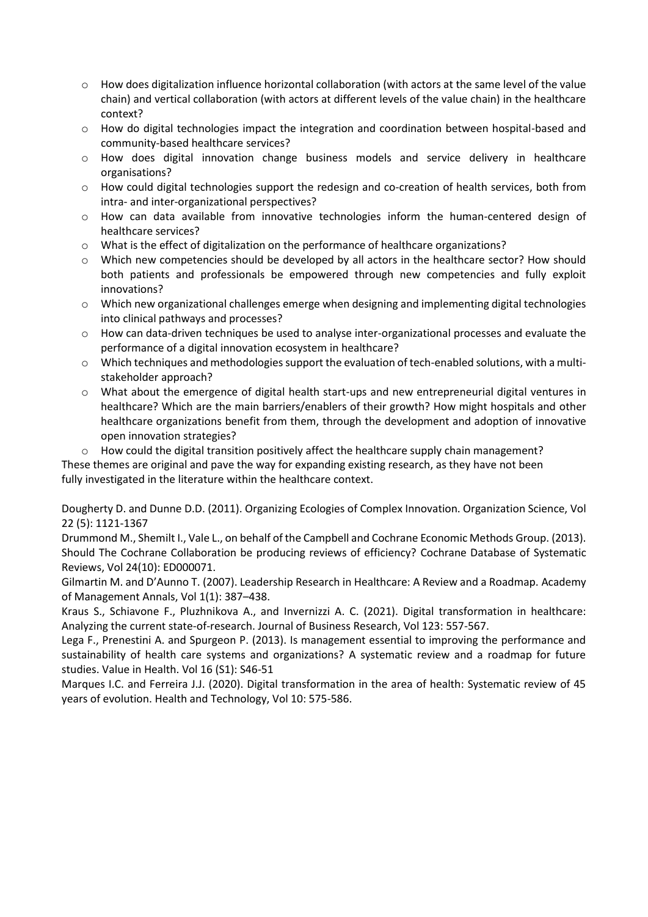- o How does digitalization influence horizontal collaboration (with actors at the same level of the value chain) and vertical collaboration (with actors at different levels of the value chain) in the healthcare context?
- o How do digital technologies impact the integration and coordination between hospital-based and community-based healthcare services?
- o How does digital innovation change business models and service delivery in healthcare organisations?
- o How could digital technologies support the redesign and co-creation of health services, both from intra- and inter-organizational perspectives?
- o How can data available from innovative technologies inform the human-centered design of healthcare services?
- $\circ$  What is the effect of digitalization on the performance of healthcare organizations?
- $\circ$  Which new competencies should be developed by all actors in the healthcare sector? How should both patients and professionals be empowered through new competencies and fully exploit innovations?
- o Which new organizational challenges emerge when designing and implementing digital technologies into clinical pathways and processes?
- o How can data-driven techniques be used to analyse inter-organizational processes and evaluate the performance of a digital innovation ecosystem in healthcare?
- o Which techniques and methodologies support the evaluation of tech-enabled solutions, with a multistakeholder approach?
- o What about the emergence of digital health start-ups and new entrepreneurial digital ventures in healthcare? Which are the main barriers/enablers of their growth? How might hospitals and other healthcare organizations benefit from them, through the development and adoption of innovative open innovation strategies?
- $\circ$  How could the digital transition positively affect the healthcare supply chain management?

These themes are original and pave the way for expanding existing research, as they have not been fully investigated in the literature within the healthcare context.

Dougherty D. and Dunne D.D. (2011). Organizing Ecologies of Complex Innovation. Organization Science, Vol 22 (5): 1121-1367

Drummond M., Shemilt I., Vale L., on behalf of the Campbell and Cochrane Economic Methods Group. (2013). Should The Cochrane Collaboration be producing reviews of efficiency? Cochrane Database of Systematic Reviews, Vol 24(10): ED000071.

Gilmartin M. and D'Aunno T. (2007). Leadership Research in Healthcare: A Review and a Roadmap. Academy of Management Annals, Vol 1(1): 387–438.

Kraus S., Schiavone F., Pluzhnikova A., and Invernizzi A. C. (2021). Digital transformation in healthcare: Analyzing the current state-of-research. Journal of Business Research, Vol 123: 557-567.

Lega F., Prenestini A. and Spurgeon P. (2013). Is management essential to improving the performance and sustainability of health care systems and organizations? A systematic review and a roadmap for future studies. Value in Health. Vol 16 (S1): S46-51

Marques I.C. and Ferreira J.J. (2020). Digital transformation in the area of health: Systematic review of 45 years of evolution. Health and Technology, Vol 10: 575-586.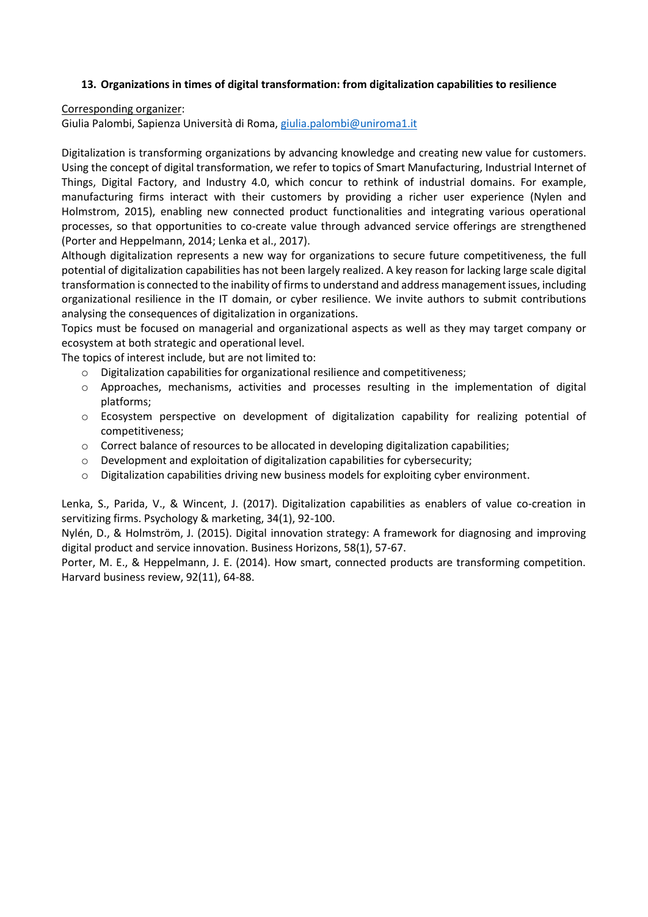### **13. Organizations in times of digital transformation: from digitalization capabilities to resilience**

Corresponding organizer:

Giulia Palombi, Sapienza Università di Roma, [giulia.palombi@uniroma1.it](mailto:giulia.palombi@uniroma1.it)

Digitalization is transforming organizations by advancing knowledge and creating new value for customers. Using the concept of digital transformation, we refer to topics of Smart Manufacturing, Industrial Internet of Things, Digital Factory, and Industry 4.0, which concur to rethink of industrial domains. For example, manufacturing firms interact with their customers by providing a richer user experience (Nylen and Holmstrom, 2015), enabling new connected product functionalities and integrating various operational processes, so that opportunities to co-create value through advanced service offerings are strengthened (Porter and Heppelmann, 2014; Lenka et al., 2017).

Although digitalization represents a new way for organizations to secure future competitiveness, the full potential of digitalization capabilities has not been largely realized. A key reason for lacking large scale digital transformation is connected to the inability of firms to understand and address management issues, including organizational resilience in the IT domain, or cyber resilience. We invite authors to submit contributions analysing the consequences of digitalization in organizations.

Topics must be focused on managerial and organizational aspects as well as they may target company or ecosystem at both strategic and operational level.

The topics of interest include, but are not limited to:

- o Digitalization capabilities for organizational resilience and competitiveness;
- o Approaches, mechanisms, activities and processes resulting in the implementation of digital platforms;
- o Ecosystem perspective on development of digitalization capability for realizing potential of competitiveness;
- o Correct balance of resources to be allocated in developing digitalization capabilities;
- $\circ$  Development and exploitation of digitalization capabilities for cybersecurity:
- o Digitalization capabilities driving new business models for exploiting cyber environment.

Lenka, S., Parida, V., & Wincent, J. (2017). Digitalization capabilities as enablers of value co-creation in servitizing firms. Psychology & marketing, 34(1), 92-100.

Nylén, D., & Holmström, J. (2015). Digital innovation strategy: A framework for diagnosing and improving digital product and service innovation. Business Horizons, 58(1), 57-67.

Porter, M. E., & Heppelmann, J. E. (2014). How smart, connected products are transforming competition. Harvard business review, 92(11), 64-88.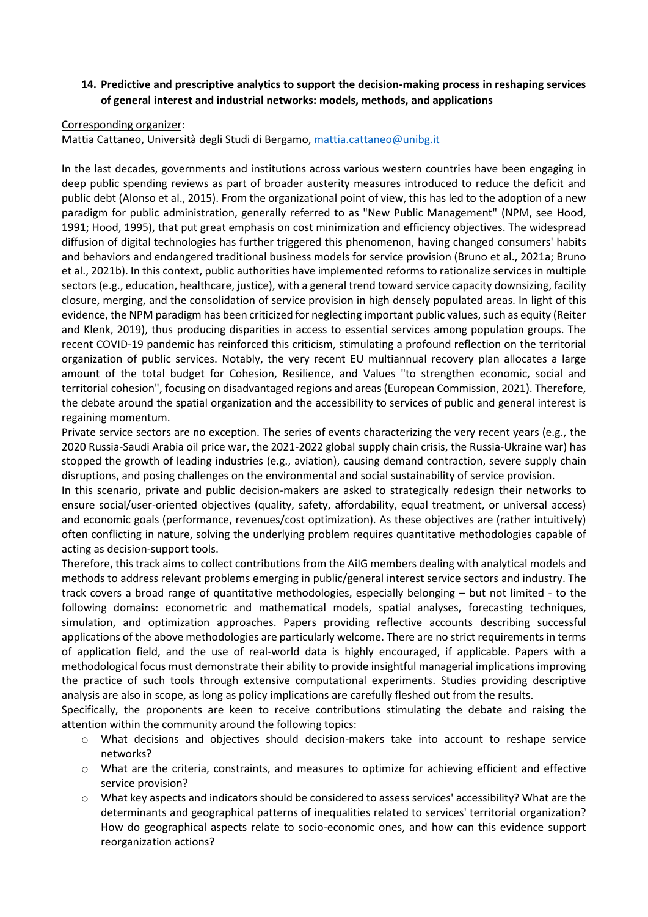# **14. Predictive and prescriptive analytics to support the decision-making process in reshaping services of general interest and industrial networks: models, methods, and applications**

#### Corresponding organizer:

Mattia Cattaneo, Università degli Studi di Bergamo, [mattia.cattaneo@unibg.it](mailto:mattia.cattaneo@unibg.it)

In the last decades, governments and institutions across various western countries have been engaging in deep public spending reviews as part of broader austerity measures introduced to reduce the deficit and public debt (Alonso et al., 2015). From the organizational point of view, this has led to the adoption of a new paradigm for public administration, generally referred to as "New Public Management" (NPM, see Hood, 1991; Hood, 1995), that put great emphasis on cost minimization and efficiency objectives. The widespread diffusion of digital technologies has further triggered this phenomenon, having changed consumers' habits and behaviors and endangered traditional business models for service provision (Bruno et al., 2021a; Bruno et al., 2021b). In this context, public authorities have implemented reforms to rationalize services in multiple sectors (e.g., education, healthcare, justice), with a general trend toward service capacity downsizing, facility closure, merging, and the consolidation of service provision in high densely populated areas. In light of this evidence, the NPM paradigm has been criticized for neglecting important public values, such as equity (Reiter and Klenk, 2019), thus producing disparities in access to essential services among population groups. The recent COVID-19 pandemic has reinforced this criticism, stimulating a profound reflection on the territorial organization of public services. Notably, the very recent EU multiannual recovery plan allocates a large amount of the total budget for Cohesion, Resilience, and Values "to strengthen economic, social and territorial cohesion", focusing on disadvantaged regions and areas (European Commission, 2021). Therefore, the debate around the spatial organization and the accessibility to services of public and general interest is regaining momentum.

Private service sectors are no exception. The series of events characterizing the very recent years (e.g., the 2020 Russia-Saudi Arabia oil price war, the 2021-2022 global supply chain crisis, the Russia-Ukraine war) has stopped the growth of leading industries (e.g., aviation), causing demand contraction, severe supply chain disruptions, and posing challenges on the environmental and social sustainability of service provision.

In this scenario, private and public decision-makers are asked to strategically redesign their networks to ensure social/user-oriented objectives (quality, safety, affordability, equal treatment, or universal access) and economic goals (performance, revenues/cost optimization). As these objectives are (rather intuitively) often conflicting in nature, solving the underlying problem requires quantitative methodologies capable of acting as decision-support tools.

Therefore, this track aims to collect contributions from the AiIG members dealing with analytical models and methods to address relevant problems emerging in public/general interest service sectors and industry. The track covers a broad range of quantitative methodologies, especially belonging – but not limited - to the following domains: econometric and mathematical models, spatial analyses, forecasting techniques, simulation, and optimization approaches. Papers providing reflective accounts describing successful applications of the above methodologies are particularly welcome. There are no strict requirements in terms of application field, and the use of real-world data is highly encouraged, if applicable. Papers with a methodological focus must demonstrate their ability to provide insightful managerial implications improving the practice of such tools through extensive computational experiments. Studies providing descriptive analysis are also in scope, as long as policy implications are carefully fleshed out from the results.

Specifically, the proponents are keen to receive contributions stimulating the debate and raising the attention within the community around the following topics:

- o What decisions and objectives should decision-makers take into account to reshape service networks?
- o What are the criteria, constraints, and measures to optimize for achieving efficient and effective service provision?
- o What key aspects and indicators should be considered to assess services' accessibility? What are the determinants and geographical patterns of inequalities related to services' territorial organization? How do geographical aspects relate to socio-economic ones, and how can this evidence support reorganization actions?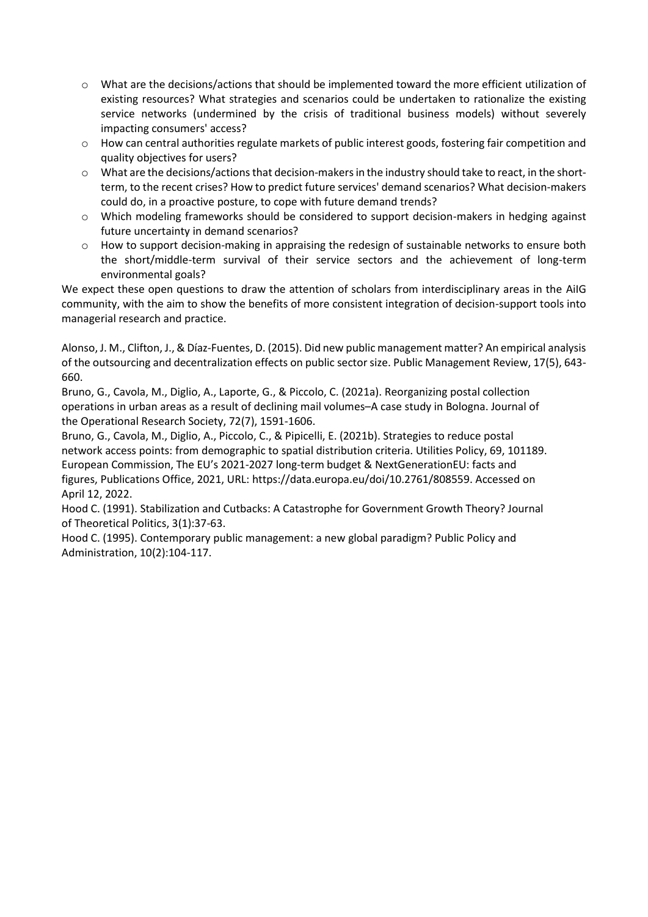- o What are the decisions/actions that should be implemented toward the more efficient utilization of existing resources? What strategies and scenarios could be undertaken to rationalize the existing service networks (undermined by the crisis of traditional business models) without severely impacting consumers' access?
- o How can central authorities regulate markets of public interest goods, fostering fair competition and quality objectives for users?
- o What are the decisions/actions that decision-makers in the industry should take to react, in the shortterm, to the recent crises? How to predict future services' demand scenarios? What decision-makers could do, in a proactive posture, to cope with future demand trends?
- o Which modeling frameworks should be considered to support decision-makers in hedging against future uncertainty in demand scenarios?
- $\circ$  How to support decision-making in appraising the redesign of sustainable networks to ensure both the short/middle-term survival of their service sectors and the achievement of long-term environmental goals?

We expect these open questions to draw the attention of scholars from interdisciplinary areas in the AiIG community, with the aim to show the benefits of more consistent integration of decision-support tools into managerial research and practice.

Alonso, J. M., Clifton, J., & Díaz-Fuentes, D. (2015). Did new public management matter? An empirical analysis of the outsourcing and decentralization effects on public sector size. Public Management Review, 17(5), 643- 660.

Bruno, G., Cavola, M., Diglio, A., Laporte, G., & Piccolo, C. (2021a). Reorganizing postal collection operations in urban areas as a result of declining mail volumes–A case study in Bologna. Journal of the Operational Research Society, 72(7), 1591-1606.

Bruno, G., Cavola, M., Diglio, A., Piccolo, C., & Pipicelli, E. (2021b). Strategies to reduce postal network access points: from demographic to spatial distribution criteria. Utilities Policy, 69, 101189. European Commission, The EU's 2021-2027 long-term budget & NextGenerationEU: facts and figures, Publications Office, 2021, URL: https://data.europa.eu/doi/10.2761/808559. Accessed on April 12, 2022.

Hood C. (1991). Stabilization and Cutbacks: A Catastrophe for Government Growth Theory? Journal of Theoretical Politics, 3(1):37-63.

Hood C. (1995). Contemporary public management: a new global paradigm? Public Policy and Administration, 10(2):104-117.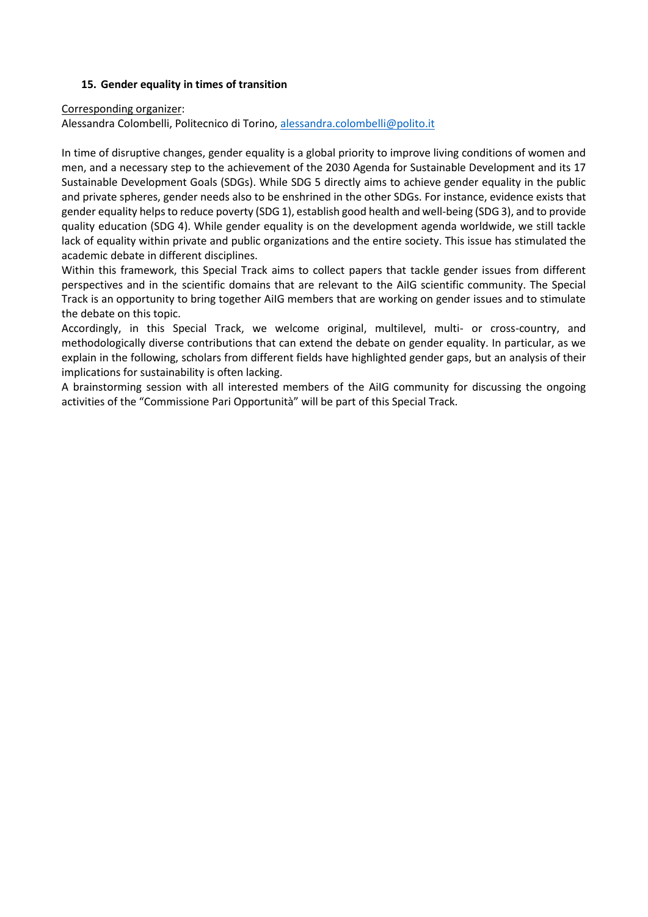### **15. Gender equality in times of transition**

#### Corresponding organizer:

Alessandra Colombelli, Politecnico di Torino[, alessandra.colombelli@polito.it](mailto:alessandra.colombelli@polito.it)

In time of disruptive changes, gender equality is a global priority to improve living conditions of women and men, and a necessary step to the achievement of the 2030 Agenda for Sustainable Development and its 17 Sustainable Development Goals (SDGs). While SDG 5 directly aims to achieve gender equality in the public and private spheres, gender needs also to be enshrined in the other SDGs. For instance, evidence exists that gender equality helps to reduce poverty (SDG 1), establish good health and well-being (SDG 3), and to provide quality education (SDG 4). While gender equality is on the development agenda worldwide, we still tackle lack of equality within private and public organizations and the entire society. This issue has stimulated the academic debate in different disciplines.

Within this framework, this Special Track aims to collect papers that tackle gender issues from different perspectives and in the scientific domains that are relevant to the AiIG scientific community. The Special Track is an opportunity to bring together AiIG members that are working on gender issues and to stimulate the debate on this topic.

Accordingly, in this Special Track, we welcome original, multilevel, multi- or cross-country, and methodologically diverse contributions that can extend the debate on gender equality. In particular, as we explain in the following, scholars from different fields have highlighted gender gaps, but an analysis of their implications for sustainability is often lacking.

A brainstorming session with all interested members of the AiIG community for discussing the ongoing activities of the "Commissione Pari Opportunità" will be part of this Special Track.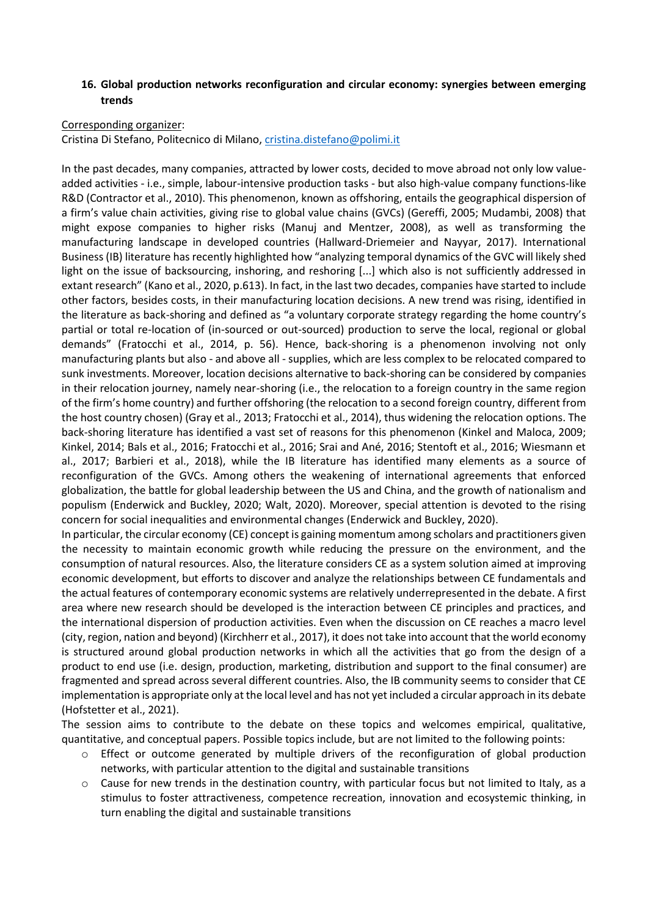### **16. Global production networks reconfiguration and circular economy: synergies between emerging trends**

#### Corresponding organizer:

Cristina Di Stefano, Politecnico di Milano, [cristina.distefano@polimi.it](mailto:cristina.distefano@polimi.it)

In the past decades, many companies, attracted by lower costs, decided to move abroad not only low valueadded activities - i.e., simple, labour-intensive production tasks - but also high-value company functions-like R&D (Contractor et al., 2010). This phenomenon, known as offshoring, entails the geographical dispersion of a firm's value chain activities, giving rise to global value chains (GVCs) (Gereffi, 2005; Mudambi, 2008) that might expose companies to higher risks (Manuj and Mentzer, 2008), as well as transforming the manufacturing landscape in developed countries (Hallward-Driemeier and Nayyar, 2017). International Business (IB) literature has recently highlighted how "analyzing temporal dynamics of the GVC will likely shed light on the issue of backsourcing, inshoring, and reshoring [...] which also is not sufficiently addressed in extant research" (Kano et al., 2020, p.613). In fact, in the last two decades, companies have started to include other factors, besides costs, in their manufacturing location decisions. A new trend was rising, identified in the literature as back-shoring and defined as "a voluntary corporate strategy regarding the home country's partial or total re-location of (in-sourced or out-sourced) production to serve the local, regional or global demands" (Fratocchi et al., 2014, p. 56). Hence, back-shoring is a phenomenon involving not only manufacturing plants but also - and above all - supplies, which are less complex to be relocated compared to sunk investments. Moreover, location decisions alternative to back-shoring can be considered by companies in their relocation journey, namely near-shoring (i.e., the relocation to a foreign country in the same region of the firm's home country) and further offshoring (the relocation to a second foreign country, different from the host country chosen) (Gray et al., 2013; Fratocchi et al., 2014), thus widening the relocation options. The back-shoring literature has identified a vast set of reasons for this phenomenon (Kinkel and Maloca, 2009; Kinkel, 2014; Bals et al., 2016; Fratocchi et al., 2016; Srai and Ané, 2016; Stentoft et al., 2016; Wiesmann et al., 2017; Barbieri et al., 2018), while the IB literature has identified many elements as a source of reconfiguration of the GVCs. Among others the weakening of international agreements that enforced globalization, the battle for global leadership between the US and China, and the growth of nationalism and populism (Enderwick and Buckley, 2020; Walt, 2020). Moreover, special attention is devoted to the rising concern for social inequalities and environmental changes (Enderwick and Buckley, 2020).

In particular, the circular economy (CE) concept is gaining momentum among scholars and practitioners given the necessity to maintain economic growth while reducing the pressure on the environment, and the consumption of natural resources. Also, the literature considers CE as a system solution aimed at improving economic development, but efforts to discover and analyze the relationships between CE fundamentals and the actual features of contemporary economic systems are relatively underrepresented in the debate. A first area where new research should be developed is the interaction between CE principles and practices, and the international dispersion of production activities. Even when the discussion on CE reaches a macro level (city, region, nation and beyond) (Kirchherr et al., 2017), it does not take into account that the world economy is structured around global production networks in which all the activities that go from the design of a product to end use (i.e. design, production, marketing, distribution and support to the final consumer) are fragmented and spread across several different countries. Also, the IB community seems to consider that CE implementation is appropriate only at the local level and has not yet included a circular approach in its debate (Hofstetter et al., 2021).

The session aims to contribute to the debate on these topics and welcomes empirical, qualitative, quantitative, and conceptual papers. Possible topics include, but are not limited to the following points:

- o Effect or outcome generated by multiple drivers of the reconfiguration of global production networks, with particular attention to the digital and sustainable transitions
- $\circ$  Cause for new trends in the destination country, with particular focus but not limited to Italy, as a stimulus to foster attractiveness, competence recreation, innovation and ecosystemic thinking, in turn enabling the digital and sustainable transitions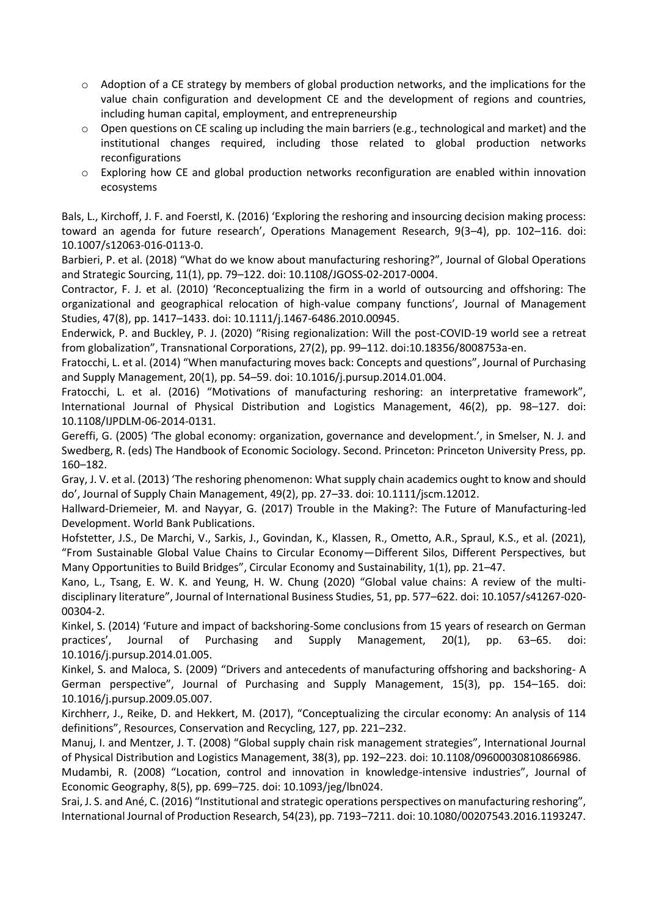- o Adoption of a CE strategy by members of global production networks, and the implications for the value chain configuration and development CE and the development of regions and countries, including human capital, employment, and entrepreneurship
- $\circ$  Open questions on CE scaling up including the main barriers (e.g., technological and market) and the institutional changes required, including those related to global production networks reconfigurations
- o Exploring how CE and global production networks reconfiguration are enabled within innovation ecosystems

Bals, L., Kirchoff, J. F. and Foerstl, K. (2016) 'Exploring the reshoring and insourcing decision making process: toward an agenda for future research', Operations Management Research, 9(3–4), pp. 102–116. doi: 10.1007/s12063-016-0113-0.

Barbieri, P. et al. (2018) "What do we know about manufacturing reshoring?", Journal of Global Operations and Strategic Sourcing, 11(1), pp. 79–122. doi: 10.1108/JGOSS-02-2017-0004.

Contractor, F. J. et al. (2010) 'Reconceptualizing the firm in a world of outsourcing and offshoring: The organizational and geographical relocation of high-value company functions', Journal of Management Studies, 47(8), pp. 1417–1433. doi: 10.1111/j.1467-6486.2010.00945.

Enderwick, P. and Buckley, P. J. (2020) "Rising regionalization: Will the post-COVID-19 world see a retreat from globalization", Transnational Corporations, 27(2), pp. 99–112. doi:10.18356/8008753a-en.

Fratocchi, L. et al. (2014) "When manufacturing moves back: Concepts and questions", Journal of Purchasing and Supply Management, 20(1), pp. 54–59. doi: 10.1016/j.pursup.2014.01.004.

Fratocchi, L. et al. (2016) "Motivations of manufacturing reshoring: an interpretative framework", International Journal of Physical Distribution and Logistics Management, 46(2), pp. 98–127. doi: 10.1108/IJPDLM-06-2014-0131.

Gereffi, G. (2005) 'The global economy: organization, governance and development.', in Smelser, N. J. and Swedberg, R. (eds) The Handbook of Economic Sociology. Second. Princeton: Princeton University Press, pp. 160–182.

Gray, J. V. et al. (2013) 'The reshoring phenomenon: What supply chain academics ought to know and should do', Journal of Supply Chain Management, 49(2), pp. 27–33. doi: 10.1111/jscm.12012.

Hallward-Driemeier, M. and Nayyar, G. (2017) Trouble in the Making?: The Future of Manufacturing-led Development. World Bank Publications.

Hofstetter, J.S., De Marchi, V., Sarkis, J., Govindan, K., Klassen, R., Ometto, A.R., Spraul, K.S., et al. (2021), "From Sustainable Global Value Chains to Circular Economy—Different Silos, Different Perspectives, but Many Opportunities to Build Bridges", Circular Economy and Sustainability, 1(1), pp. 21–47.

Kano, L., Tsang, E. W. K. and Yeung, H. W. Chung (2020) "Global value chains: A review of the multidisciplinary literature", Journal of International Business Studies, 51, pp. 577–622. doi: 10.1057/s41267-020- 00304-2.

Kinkel, S. (2014) 'Future and impact of backshoring-Some conclusions from 15 years of research on German practices', Journal of Purchasing and Supply Management, 20(1), pp. 63–65. doi: 10.1016/j.pursup.2014.01.005.

Kinkel, S. and Maloca, S. (2009) "Drivers and antecedents of manufacturing offshoring and backshoring- A German perspective", Journal of Purchasing and Supply Management, 15(3), pp. 154–165. doi: 10.1016/j.pursup.2009.05.007.

Kirchherr, J., Reike, D. and Hekkert, M. (2017), "Conceptualizing the circular economy: An analysis of 114 definitions", Resources, Conservation and Recycling, 127, pp. 221–232.

Manuj, I. and Mentzer, J. T. (2008) "Global supply chain risk management strategies", International Journal of Physical Distribution and Logistics Management, 38(3), pp. 192–223. doi: 10.1108/09600030810866986.

Mudambi, R. (2008) "Location, control and innovation in knowledge-intensive industries", Journal of Economic Geography, 8(5), pp. 699–725. doi: 10.1093/jeg/lbn024.

Srai, J. S. and Ané, C. (2016) "Institutional and strategic operations perspectives on manufacturing reshoring", International Journal of Production Research, 54(23), pp. 7193–7211. doi: 10.1080/00207543.2016.1193247.